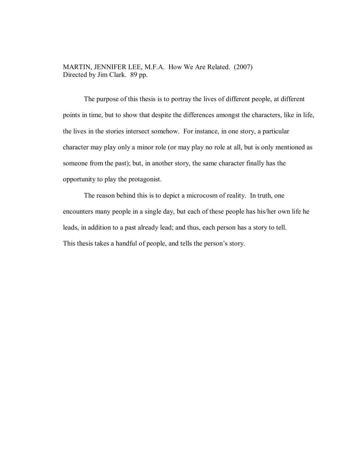MARTIN, JENNIFER LEE, M.F.A. How We Are Related. (2007) Directed by Jim Clark. 89 pp.

 The purpose of this thesis is to portray the lives of different people, at different points in time, but to show that despite the differences amongst the characters, like in life, the lives in the stories intersect somehow. For instance, in one story, a particular character may play only a minor role (or may play no role at all, but is only mentioned as someone from the past); but, in another story, the same character finally has the opportunity to play the protagonist.

The reason behind this is to depict a microcosm of reality. In truth, one encounters many people in a single day, but each of these people has his/her own life he leads, in addition to a past already lead; and thus, each person has a story to tell. This thesis takes a handful of people, and tells the person's story.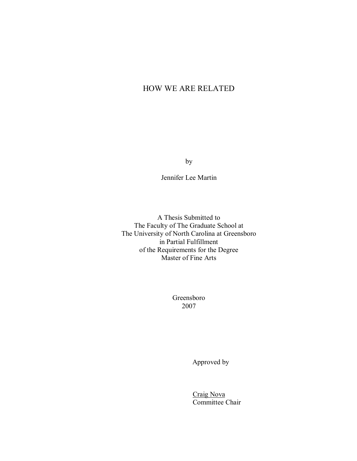# HOW WE ARE RELATED

by

Jennifer Lee Martin

A Thesis Submitted to The Faculty of The Graduate School at The University of North Carolina at Greensboro in Partial Fulfillment of the Requirements for the Degree Master of Fine Arts

> Greensboro 2007

> > Approved by

 Craig Nova Committee Chair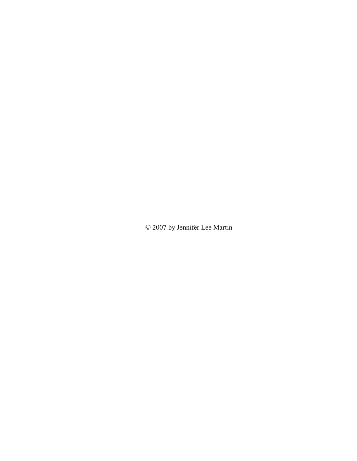© 2007 by Jennifer Lee Martin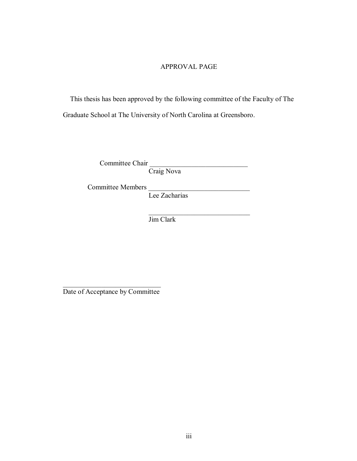## APPROVAL PAGE

 This thesis has been approved by the following committee of the Faculty of The Graduate School at The University of North Carolina at Greensboro.

Committee Chair

Craig Nova

Committee Members

Lee Zacharias

Jim Clark

 $\mathcal{L}_\text{max}$  and  $\mathcal{L}_\text{max}$  and  $\mathcal{L}_\text{max}$  and  $\mathcal{L}_\text{max}$  and  $\mathcal{L}_\text{max}$ 

 $\mathcal{L}_\text{max}$  , where  $\mathcal{L}_\text{max}$  and  $\mathcal{L}_\text{max}$ Date of Acceptance by Committee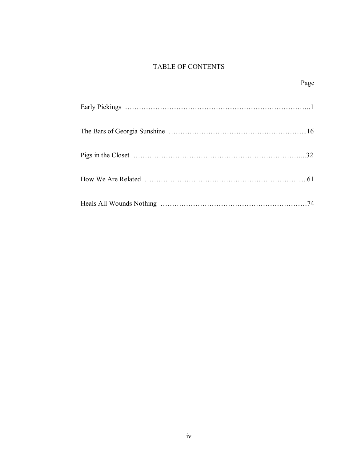## TABLE OF CONTENTS

|  | Page |
|--|------|
|  |      |
|  |      |
|  | 32   |
|  |      |
|  | 74   |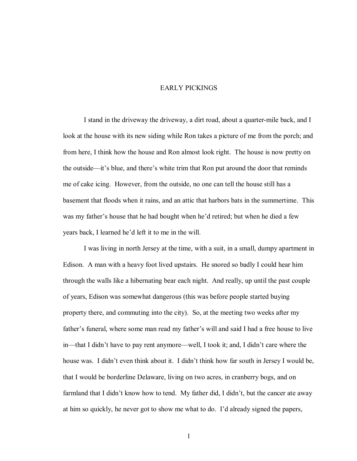### EARLY PICKINGS

I stand in the driveway the driveway, a dirt road, about a quarter-mile back, and I look at the house with its new siding while Ron takes a picture of me from the porch; and from here, I think how the house and Ron almost look right. The house is now pretty on the outside—it's blue, and there's white trim that Ron put around the door that reminds me of cake icing. However, from the outside, no one can tell the house still has a basement that floods when it rains, and an attic that harbors bats in the summertime. This was my father's house that he had bought when he'd retired; but when he died a few years back, I learned he'd left it to me in the will.

I was living in north Jersey at the time, with a suit, in a small, dumpy apartment in Edison. A man with a heavy foot lived upstairs. He snored so badly I could hear him through the walls like a hibernating bear each night. And really, up until the past couple of years, Edison was somewhat dangerous (this was before people started buying property there, and commuting into the city). So, at the meeting two weeks after my father's funeral, where some man read my father's will and said I had a free house to live in—that I didn't have to pay rent anymore—well, I took it; and, I didn't care where the house was. I didn't even think about it. I didn't think how far south in Jersey I would be, that I would be borderline Delaware, living on two acres, in cranberry bogs, and on farmland that I didn't know how to tend. My father did, I didn't, but the cancer ate away at him so quickly, he never got to show me what to do. I'd already signed the papers,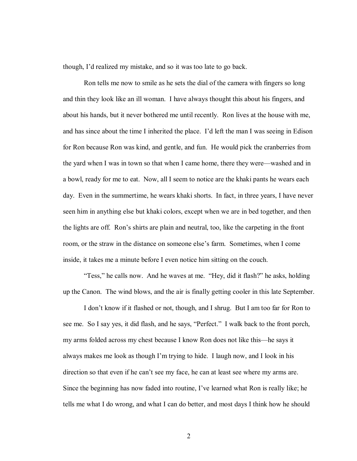though, I'd realized my mistake, and so it was too late to go back.

 Ron tells me now to smile as he sets the dial of the camera with fingers so long and thin they look like an ill woman. I have always thought this about his fingers, and about his hands, but it never bothered me until recently. Ron lives at the house with me, and has since about the time I inherited the place. I'd left the man I was seeing in Edison for Ron because Ron was kind, and gentle, and fun. He would pick the cranberries from the yard when I was in town so that when I came home, there they were—washed and in a bowl, ready for me to eat. Now, all I seem to notice are the khaki pants he wears each day. Even in the summertime, he wears khaki shorts. In fact, in three years, I have never seen him in anything else but khaki colors, except when we are in bed together, and then the lights are off. Ron's shirts are plain and neutral, too, like the carpeting in the front room, or the straw in the distance on someone else's farm. Sometimes, when I come inside, it takes me a minute before I even notice him sitting on the couch.

"Tess," he calls now. And he waves at me. "Hey, did it flash?" he asks, holding up the Canon. The wind blows, and the air is finally getting cooler in this late September.

I don't know if it flashed or not, though, and I shrug. But I am too far for Ron to see me. So I say yes, it did flash, and he says, "Perfect." I walk back to the front porch, my arms folded across my chest because I know Ron does not like this—he says it always makes me look as though I'm trying to hide. I laugh now, and I look in his direction so that even if he can't see my face, he can at least see where my arms are. Since the beginning has now faded into routine, I've learned what Ron is really like; he tells me what I do wrong, and what I can do better, and most days I think how he should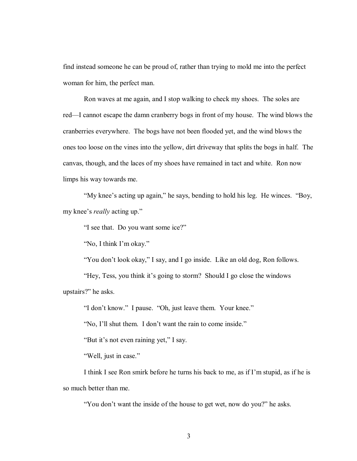find instead someone he can be proud of, rather than trying to mold me into the perfect woman for him, the perfect man.

Ron waves at me again, and I stop walking to check my shoes. The soles are red—I cannot escape the damn cranberry bogs in front of my house. The wind blows the cranberries everywhere. The bogs have not been flooded yet, and the wind blows the ones too loose on the vines into the yellow, dirt driveway that splits the bogs in half. The canvas, though, and the laces of my shoes have remained in tact and white. Ron now limps his way towards me.

"My knee's acting up again," he says, bending to hold his leg. He winces. "Boy, my knee's *really* acting up."

"I see that. Do you want some ice?"

'No, I think I'm okay."

"You don't look okay," I say, and I go inside. Like an old dog, Ron follows.

"Hey, Tess, you think it's going to storm? Should I go close the windows upstairs?" he asks.

"I don't know." I pause. "Oh, just leave them. Your knee."

"No, I'll shut them. I don't want the rain to come inside."

"But it's not even raining yet," I say.

"Well, just in case."

I think I see Ron smirk before he turns his back to me, as if I'm stupid, as if he is so much better than me.

"You don't want the inside of the house to get wet, now do you?" he asks.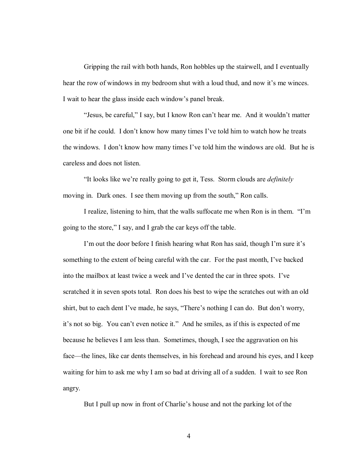Gripping the rail with both hands, Ron hobbles up the stairwell, and I eventually hear the row of windows in my bedroom shut with a loud thud, and now it's me winces. I wait to hear the glass inside each window's panel break.

"Jesus, be careful," I say, but I know Ron can't hear me. And it wouldn't matter one bit if he could. I don't know how many times I've told him to watch how he treats the windows. I don't know how many times I've told him the windows are old. But he is careless and does not listen.

ìIt looks like weíre really going to get it, Tess. Storm clouds are *definitely* moving in. Dark ones. I see them moving up from the south," Ron calls.

I realize, listening to him, that the walls suffocate me when Ron is in them. *'T*'m going to the store," I say, and I grab the car keys off the table.

I'm out the door before I finish hearing what Ron has said, though I'm sure it's something to the extent of being careful with the car. For the past month, I've backed into the mailbox at least twice a week and I've dented the car in three spots. I've scratched it in seven spots total. Ron does his best to wipe the scratches out with an old shirt, but to each dent I've made, he says, "There's nothing I can do. But don't worry, it's not so big. You can't even notice it." And he smiles, as if this is expected of me because he believes I am less than. Sometimes, though, I see the aggravation on his face—the lines, like car dents themselves, in his forehead and around his eyes, and I keep waiting for him to ask me why I am so bad at driving all of a sudden. I wait to see Ron angry.

But I pull up now in front of Charlie's house and not the parking lot of the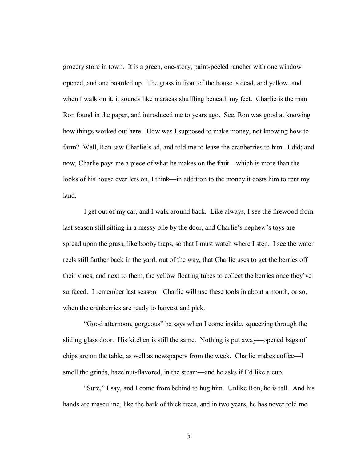grocery store in town. It is a green, one-story, paint-peeled rancher with one window opened, and one boarded up. The grass in front of the house is dead, and yellow, and when I walk on it, it sounds like maracas shuffling beneath my feet. Charlie is the man Ron found in the paper, and introduced me to years ago. See, Ron was good at knowing how things worked out here. How was I supposed to make money, not knowing how to farm? Well, Ron saw Charlie's ad, and told me to lease the cranberries to him. I did; and now, Charlie pays me a piece of what he makes on the fruit—which is more than the looks of his house ever lets on, I think—in addition to the money it costs him to rent my land.

I get out of my car, and I walk around back. Like always, I see the firewood from last season still sitting in a messy pile by the door, and Charlie's nephew's toys are spread upon the grass, like booby traps, so that I must watch where I step. I see the water reels still farther back in the yard, out of the way, that Charlie uses to get the berries off their vines, and next to them, the yellow floating tubes to collect the berries once theyíve surfaced. I remember last season—Charlie will use these tools in about a month, or so, when the cranberries are ready to harvest and pick.

 ìGood afternoon, gorgeousî he says when I come inside, squeezing through the sliding glass door. His kitchen is still the same. Nothing is put away—opened bags of chips are on the table, as well as newspapers from the week. Charlie makes coffee<sup>-I</sup> smell the grinds, hazelnut-flavored, in the steam—and he asks if I'd like a cup.

"Sure," I say, and I come from behind to hug him. Unlike Ron, he is tall. And his hands are masculine, like the bark of thick trees, and in two years, he has never told me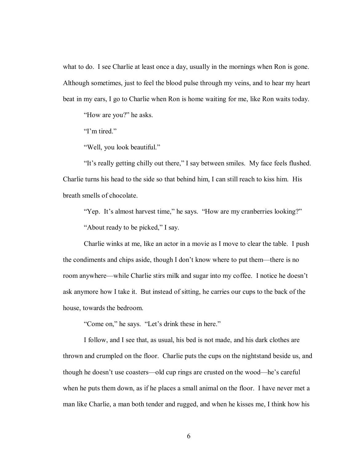what to do. I see Charlie at least once a day, usually in the mornings when Ron is gone. Although sometimes, just to feel the blood pulse through my veins, and to hear my heart beat in my ears, I go to Charlie when Ron is home waiting for me, like Ron waits today.

"How are you?" he asks.

 $Tm$  tired."

"Well, you look beautiful."

"It's really getting chilly out there," I say between smiles. My face feels flushed. Charlie turns his head to the side so that behind him, I can still reach to kiss him. His breath smells of chocolate.

"Yep. It's almost harvest time," he says. "How are my cranberries looking?" "About ready to be picked," I say.

 Charlie winks at me, like an actor in a movie as I move to clear the table. I push the condiments and chips aside, though I don't know where to put them—there is no room anywhere—while Charlie stirs milk and sugar into my coffee. I notice he doesn't ask anymore how I take it. But instead of sitting, he carries our cups to the back of the house, towards the bedroom.

"Come on," he says. "Let's drink these in here."

 I follow, and I see that, as usual, his bed is not made, and his dark clothes are thrown and crumpled on the floor. Charlie puts the cups on the nightstand beside us, and though he doesn't use coasters—old cup rings are crusted on the wood—he's careful when he puts them down, as if he places a small animal on the floor. I have never met a man like Charlie, a man both tender and rugged, and when he kisses me, I think how his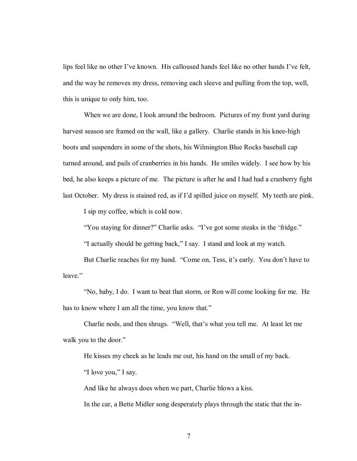lips feel like no other I've known. His calloused hands feel like no other hands I've felt, and the way he removes my dress, removing each sleeve and pulling from the top, well, this is unique to only him, too.

 When we are done, I look around the bedroom. Pictures of my front yard during harvest season are framed on the wall, like a gallery. Charlie stands in his knee-high boots and suspenders in some of the shots, his Wilmington Blue Rocks baseball cap turned around, and pails of cranberries in his hands. He smiles widely. I see how by his bed, he also keeps a picture of me. The picture is after he and I had had a cranberry fight last October. My dress is stained red, as if I'd spilled juice on myself. My teeth are pink.

I sip my coffee, which is cold now.

"You staying for dinner?" Charlie asks. "I've got some steaks in the 'fridge."

"I actually should be getting back," I say. I stand and look at my watch.

But Charlie reaches for my hand. "Come on, Tess, it's early. You don't have to leave."

 ìNo, baby, I do. I want to beat that storm, or Ron will come looking for me. He has to know where I am all the time, you know that."

Charlie nods, and then shrugs. "Well, that's what you tell me. At least let me walk you to the door."

 He kisses my cheek as he leads me out, his hand on the small of my back. "I love you," I say.

And like he always does when we part, Charlie blows a kiss.

In the car, a Bette Midler song desperately plays through the static that the in-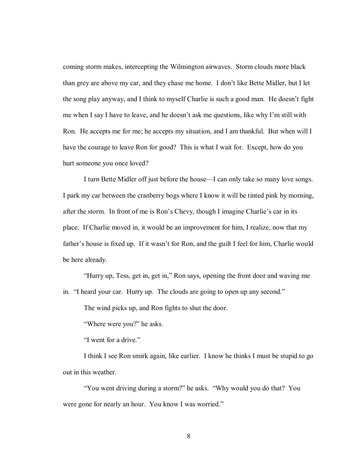coming storm makes, intercepting the Wilmington airwaves. Storm clouds more black than grey are above my car, and they chase me home. I don't like Bette Midler, but I let the song play anyway, and I think to myself Charlie is such a good man. He doesn't fight me when I say I have to leave, and he doesn't ask me questions, like why I'm still with Ron. He accepts me for me; he accepts my situation, and I am thankful. But when will I have the courage to leave Ron for good? This is what I wait for. Except, how do you hurt someone you once loved?

I turn Bette Midler off just before the house—I can only take so many love songs. I park my car between the cranberry bogs where I know it will be tinted pink by morning, after the storm. In front of me is Ron's Chevy, though I imagine Charlie's car in its place. If Charlie moved in, it would be an improvement for him, I realize, now that my father's house is fixed up. If it wasn't for Ron, and the guilt I feel for him, Charlie would be here already.

 ìHurry up, Tess, get in, get in,î Ron says, opening the front door and waving me in. "I heard your car. Hurry up. The clouds are going to open up any second."

The wind picks up, and Ron fights to shut the door.

"Where were you?" he asks.

"I went for a drive."

 I think I see Ron smirk again, like earlier. I know he thinks I must be stupid to go out in this weather.

"You went driving during a storm?" he asks. "Why would you do that? You were gone for nearly an hour. You know I was worried."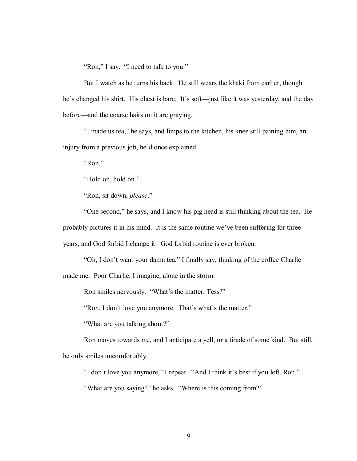"Ron," I say. "I need to talk to you."

 But I watch as he turns his back. He still wears the khaki from earlier, though he's changed his shirt. His chest is bare. It's soft—just like it was yesterday, and the day before—and the coarse hairs on it are graying.

"I made us tea," he says, and limps to the kitchen, his knee still paining him, an injury from a previous job, he'd once explained.

 $"Ron."$ 

"Hold on, hold on."

ìRon, sit down, *please*.î

 ìOne second,î he says, and I know his pig head is still thinking about the tea. He probably pictures it in his mind. It is the same routine we've been suffering for three years, and God forbid I change it. God forbid routine is ever broken.

"Oh, I don't want your damn tea," I finally say, thinking of the coffee Charlie made me. Poor Charlie, I imagine, alone in the storm.

Ron smiles nervously. "What's the matter, Tess?"

"Ron, I don't love you anymore. That's what's the matter."

"What are you talking about?"

Ron moves towards me, and I anticipate a yell, or a tirade of some kind. But still, he only smiles uncomfortably.

"I don't love you anymore," I repeat. "And I think it's best if you left, Ron."

"What are you saying?" he asks. "Where is this coming from?"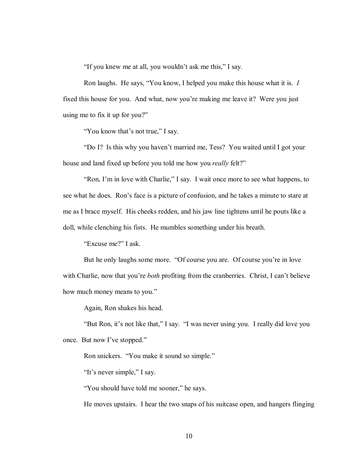"If you knew me at all, you wouldn't ask me this," I say.

Ron laughs. He says, "You know, I helped you make this house what it is. *I* fixed this house for you. And what, now you're making me leave it? Were you just using me to fix it up for you?"

"You know that's not true," I say.

"Do I? Is this why you haven't married me, Tess? You waited until I got your house and land fixed up before you told me how you *really* felt?"

"Ron, I'm in love with Charlie," I say. I wait once more to see what happens, to see what he does. Ron's face is a picture of confusion, and he takes a minute to stare at me as I brace myself. His cheeks redden, and his jaw line tightens until he pouts like a doll, while clenching his fists. He mumbles something under his breath.

"Excuse me?" I ask.

But he only laughs some more. "Of course you are. Of course you're in love with Charlie, now that you're *both* profiting from the cranberries. Christ, I can't believe how much money means to you."

Again, Ron shakes his head.

"But Ron, it's not like that," I say. "I was never using you. I really did love you once. But now I've stopped."

Ron snickers. "You make it sound so simple."

"It's never simple," I say.

"You should have told me sooner," he says.

He moves upstairs. I hear the two snaps of his suitcase open, and hangers flinging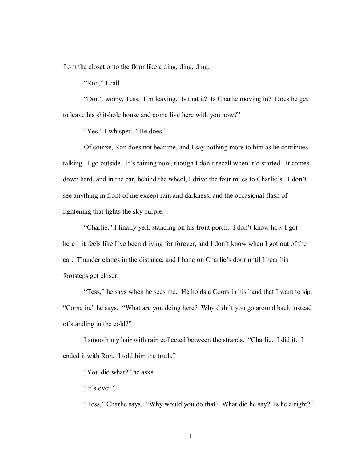from the closet onto the floor like a ding, ding, ding.

"Ron," I call.

 ìDonít worry, Tess. Iím leaving. Is that it? Is Charlie moving in? Does he get to leave his shit-hole house and come live here with you now?"

"Yes," I whisper. "He does."

 Of course, Ron does not hear me, and I say nothing more to him as he continues talking. I go outside. It's raining now, though I don't recall when it'd started. It comes down hard, and in the car, behind the wheel, I drive the four miles to Charlie's. I don't see anything in front of me except rain and darkness, and the occasional flash of lightening that lights the sky purple.

"Charlie," I finally yell, standing on his front porch. I don't know how I got here—it feels like I've been driving for forever, and I don't know when I got out of the car. Thunder clangs in the distance, and I bang on Charlie's door until I hear his footsteps get closer.

"Tess," he says when he sees me. He holds a Coors in his hand that I want to sip. "Come in," he says. "What are you doing here? Why didn't you go around back instead of standing in the cold?"

I smooth my hair with rain collected between the strands. "Charlie. I did it. I ended it with Ron. I told him the truth.<sup>"</sup>

"You did what?" he asks.

"It's over."

"Tess," Charlie says. "Why would you do that? What did he say? Is he alright?"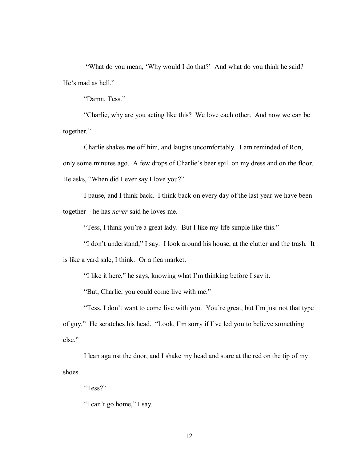"What do you mean, 'Why would I do that?' And what do you think he said? He's mad as hell."

"Damn, Tess."

 ìCharlie, why are you acting like this? We love each other. And now we can be together."

 Charlie shakes me off him, and laughs uncomfortably. I am reminded of Ron, only some minutes ago. A few drops of Charlie's beer spill on my dress and on the floor. He asks, "When did I ever say I love you?"

 I pause, and I think back. I think back on every day of the last year we have been together—he has *never* said he loves me.

"Tess, I think you're a great lady. But I like my life simple like this."

 ìI donít understand,î I say. I look around his house, at the clutter and the trash. It is like a yard sale, I think. Or a flea market.

"I like it here," he says, knowing what I'm thinking before I say it.

"But, Charlie, you could come live with me."

"Tess, I don't want to come live with you. You're great, but I'm just not that type of guy." He scratches his head. "Look, I'm sorry if I've led you to believe something else."

I lean against the door, and I shake my head and stare at the red on the tip of my shoes.

 $Tess$ ?"

"I can't go home," I say.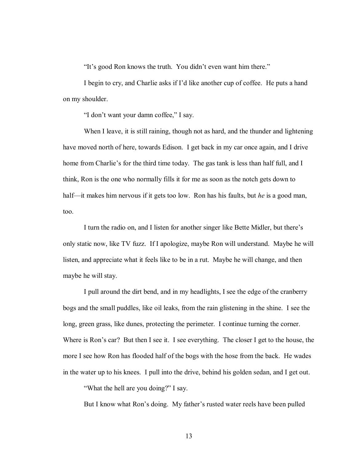"It's good Ron knows the truth. You didn't even want him there."

I begin to cry, and Charlie asks if I'd like another cup of coffee. He puts a hand on my shoulder.

"I don't want your damn coffee," I say.

When I leave, it is still raining, though not as hard, and the thunder and lightening have moved north of here, towards Edison. I get back in my car once again, and I drive home from Charlie's for the third time today. The gas tank is less than half full, and I think, Ron is the one who normally fills it for me as soon as the notch gets down to half—it makes him nervous if it gets too low. Ron has his faults, but *he* is a good man, too.

I turn the radio on, and I listen for another singer like Bette Midler, but there's only static now, like TV fuzz. If I apologize, maybe Ron will understand. Maybe he will listen, and appreciate what it feels like to be in a rut. Maybe he will change, and then maybe he will stay.

 I pull around the dirt bend, and in my headlights, I see the edge of the cranberry bogs and the small puddles, like oil leaks, from the rain glistening in the shine. I see the long, green grass, like dunes, protecting the perimeter. I continue turning the corner. Where is Ron's car? But then I see it. I see everything. The closer I get to the house, the more I see how Ron has flooded half of the bogs with the hose from the back. He wades in the water up to his knees. I pull into the drive, behind his golden sedan, and I get out.

ìWhat the hell are you doing?î I say.

But I know what Ron's doing. My father's rusted water reels have been pulled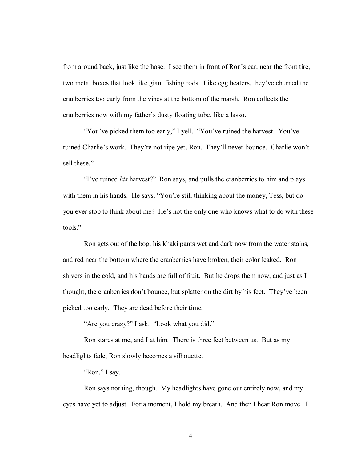from around back, just like the hose. I see them in front of Ron's car, near the front tire, two metal boxes that look like giant fishing rods. Like egg beaters, they've churned the cranberries too early from the vines at the bottom of the marsh. Ron collects the cranberries now with my father's dusty floating tube, like a lasso.

"You've picked them too early," I yell. "You've ruined the harvest. You've ruined Charlie's work. They're not ripe yet, Ron. They'll never bounce. Charlie won't sell these."

*i*T ve ruined *his* harvest?" Ron says, and pulls the cranberries to him and plays with them in his hands. He says, "You're still thinking about the money, Tess, but do you ever stop to think about me? He's not the only one who knows what to do with these tools."

 Ron gets out of the bog, his khaki pants wet and dark now from the water stains, and red near the bottom where the cranberries have broken, their color leaked. Ron shivers in the cold, and his hands are full of fruit. But he drops them now, and just as I thought, the cranberries don't bounce, but splatter on the dirt by his feet. They've been picked too early. They are dead before their time.

"Are you crazy?" I ask. "Look what you did."

Ron stares at me, and I at him. There is three feet between us. But as my headlights fade, Ron slowly becomes a silhouette.

"Ron," I say.

Ron says nothing, though. My headlights have gone out entirely now, and my eyes have yet to adjust. For a moment, I hold my breath. And then I hear Ron move. I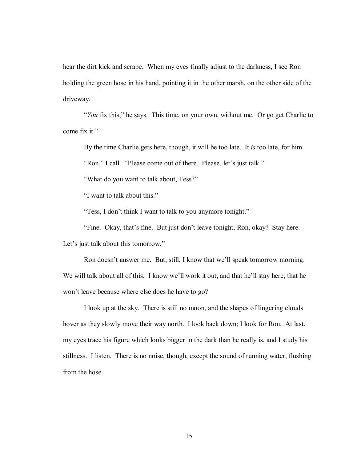hear the dirt kick and scrape. When my eyes finally adjust to the darkness, I see Ron holding the green hose in his hand, pointing it in the other marsh, on the other side of the driveway.

*<sup>\*</sup>You* fix this," he says. This time, on your own, without me. Or go get Charlie to come fix it."

By the time Charlie gets here, though, it will be too late. It *is* too late, for him.

"Ron," I call. "Please come out of there. Please, let's just talk."

"What do you want to talk about, Tess?"

"I want to talk about this."

"Tess, I don't think I want to talk to you anymore tonight."

"Fine. Okay, that's fine. But just don't leave tonight, Ron, okay? Stay here.

Let's just talk about this tomorrow."

Ron doesn't answer me. But, still, I know that we'll speak tomorrow morning. We will talk about all of this. I know we'll work it out, and that he'll stay here, that he won't leave because where else does he have to go?

 I look up at the sky. There is still no moon, and the shapes of lingering clouds hover as they slowly move their way north. I look back down; I look for Ron. At last, my eyes trace his figure which looks bigger in the dark than he really is, and I study his stillness. I listen. There is no noise, though, except the sound of running water, flushing from the hose.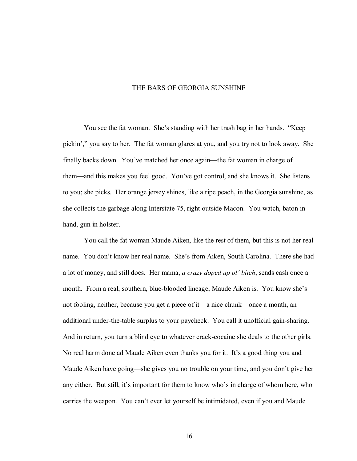#### THE BARS OF GEORGIA SUNSHINE

You see the fat woman. She's standing with her trash bag in her hands. "Keep pickin'," you say to her. The fat woman glares at you, and you try not to look away. She finally backs down. You've matched her once again—the fat woman in charge of them—and this makes you feel good. You've got control, and she knows it. She listens to you; she picks. Her orange jersey shines, like a ripe peach, in the Georgia sunshine, as she collects the garbage along Interstate 75, right outside Macon. You watch, baton in hand, gun in holster.

 You call the fat woman Maude Aiken, like the rest of them, but this is not her real name. You don't know her real name. She's from Aiken, South Carolina. There she had a lot of money, and still does. Her mama, *a crazy doped up olí bitch*, sends cash once a month. From a real, southern, blue-blooded lineage, Maude Aiken is. You know she's not fooling, neither, because you get a piece of it—a nice chunk—once a month, an additional under-the-table surplus to your paycheck. You call it unofficial gain-sharing. And in return, you turn a blind eye to whatever crack-cocaine she deals to the other girls. No real harm done ad Maude Aiken even thanks you for it. It's a good thing you and Maude Aiken have going—she gives you no trouble on your time, and you don't give her any either. But still, it's important for them to know who's in charge of whom here, who carries the weapon. You canít ever let yourself be intimidated, even if you and Maude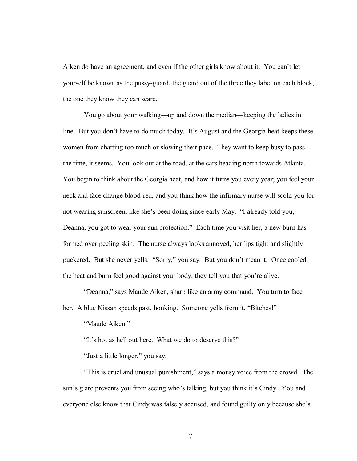Aiken do have an agreement, and even if the other girls know about it. You can't let yourself be known as the pussy-guard, the guard out of the three they label on each block, the one they know they can scare.

You go about your walking—up and down the median—keeping the ladies in line. But you don't have to do much today. It's August and the Georgia heat keeps these women from chatting too much or slowing their pace. They want to keep busy to pass the time, it seems. You look out at the road, at the cars heading north towards Atlanta. You begin to think about the Georgia heat, and how it turns you every year; you feel your neck and face change blood-red, and you think how the infirmary nurse will scold you for not wearing sunscreen, like she's been doing since early May. "I already told you, Deanna, you got to wear your sun protection." Each time you visit her, a new burn has formed over peeling skin. The nurse always looks annoyed, her lips tight and slightly puckered. But she never yells. "Sorry," you say. But you don't mean it. Once cooled, the heat and burn feel good against your body; they tell you that you're alive.

 ìDeanna,î says Maude Aiken, sharp like an army command. You turn to face her. A blue Nissan speeds past, honking. Someone yells from it, "Bitches!"

"Maude Aiken."

"It's hot as hell out here. What we do to deserve this?"

"Just a little longer," you say.

 ìThis is cruel and unusual punishment,î says a mousy voice from the crowd. The sun's glare prevents you from seeing who's talking, but you think it's Cindy. You and everyone else know that Cindy was falsely accused, and found guilty only because she's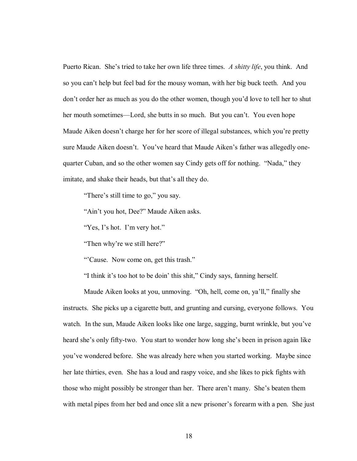Puerto Rican. She's tried to take her own life three times. *A shitty life*, you think. And so you can't help but feel bad for the mousy woman, with her big buck teeth. And you don't order her as much as you do the other women, though you'd love to tell her to shut her mouth sometimes—Lord, she butts in so much. But you can't. You even hope Maude Aiken doesn't charge her for her score of illegal substances, which you're pretty sure Maude Aiken doesn't. You've heard that Maude Aiken's father was allegedly onequarter Cuban, and so the other women say Cindy gets off for nothing. "Nada," they imitate, and shake their heads, but that's all they do.

"There's still time to go," you say.

"Ain't you hot, Dee?" Maude Aiken asks.

 $Yes$ , I's hot. I'm very hot."

"Then why're we still here?"

"Cause. Now come on, get this trash."

"I think it's too hot to be doin' this shit," Cindy says, fanning herself.

Maude Aiken looks at you, unmoving. "Oh, hell, come on, ya'll," finally she instructs. She picks up a cigarette butt, and grunting and cursing, everyone follows. You watch. In the sun, Maude Aiken looks like one large, sagging, burnt wrinkle, but you've heard she's only fifty-two. You start to wonder how long she's been in prison again like youíve wondered before. She was already here when you started working. Maybe since her late thirties, even. She has a loud and raspy voice, and she likes to pick fights with those who might possibly be stronger than her. There aren't many. She's beaten them with metal pipes from her bed and once slit a new prisoner's forearm with a pen. She just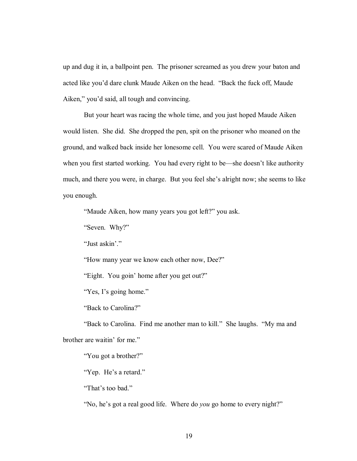up and dug it in, a ballpoint pen. The prisoner screamed as you drew your baton and acted like you'd dare clunk Maude Aiken on the head. "Back the fuck off, Maude Aiken," you'd said, all tough and convincing.

 But your heart was racing the whole time, and you just hoped Maude Aiken would listen. She did. She dropped the pen, spit on the prisoner who moaned on the ground, and walked back inside her lonesome cell. You were scared of Maude Aiken when you first started working. You had every right to be—she doesn't like authority much, and there you were, in charge. But you feel she's alright now; she seems to like you enough.

"Maude Aiken, how many years you got left?" you ask.

"Seven. Why?"

"Just askin'."

"How many year we know each other now, Dee?"

"Eight. You goin' home after you get out?"

"Yes, I's going home."

"Back to Carolina?"

"Back to Carolina. Find me another man to kill." She laughs. "My ma and brother are waitin' for me."

"You got a brother?"

"Yep. He's a retard."

"That's too bad."

*'No*, he's got a real good life. Where do *you* go home to every night?"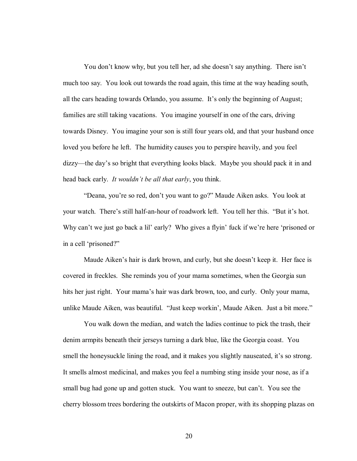You don't know why, but you tell her, ad she doesn't say anything. There isn't much too say. You look out towards the road again, this time at the way heading south, all the cars heading towards Orlando, you assume. It's only the beginning of August; families are still taking vacations. You imagine yourself in one of the cars, driving towards Disney. You imagine your son is still four years old, and that your husband once loved you before he left. The humidity causes you to perspire heavily, and you feel dizzy—the day's so bright that everything looks black. Maybe you should pack it in and head back early. *It wouldn't be all that early*, you think.

 ìDeana, youíre so red, donít you want to go?î Maude Aiken asks. You look at your watch. There's still half-an-hour of roadwork left. You tell her this. "But it's hot. Why can't we just go back a lil' early? Who gives a flyin' fuck if we're here 'prisoned or in a cell 'prisoned?"

Maude Aiken's hair is dark brown, and curly, but she doesn't keep it. Her face is covered in freckles. She reminds you of your mama sometimes, when the Georgia sun hits her just right. Your mama's hair was dark brown, too, and curly. Only your mama, unlike Maude Aiken, was beautiful. "Just keep workin', Maude Aiken. Just a bit more."

 You walk down the median, and watch the ladies continue to pick the trash, their denim armpits beneath their jerseys turning a dark blue, like the Georgia coast. You smell the honeysuckle lining the road, and it makes you slightly nauseated, it's so strong. It smells almost medicinal, and makes you feel a numbing sting inside your nose, as if a small bug had gone up and gotten stuck. You want to sneeze, but can't. You see the cherry blossom trees bordering the outskirts of Macon proper, with its shopping plazas on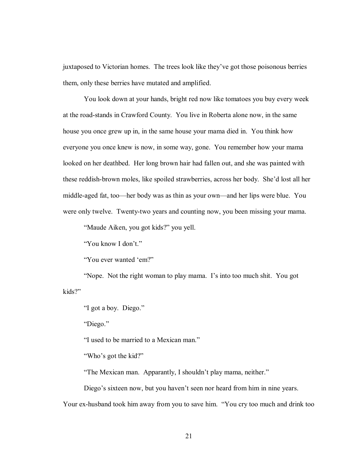juxtaposed to Victorian homes. The trees look like they've got those poisonous berries them, only these berries have mutated and amplified.

 You look down at your hands, bright red now like tomatoes you buy every week at the road-stands in Crawford County. You live in Roberta alone now, in the same house you once grew up in, in the same house your mama died in. You think how everyone you once knew is now, in some way, gone. You remember how your mama looked on her deathbed. Her long brown hair had fallen out, and she was painted with these reddish-brown moles, like spoiled strawberries, across her body. She'd lost all her middle-aged fat, too—her body was as thin as your own—and her lips were blue. You were only twelve. Twenty-two years and counting now, you been missing your mama.

"Maude Aiken, you got kids?" you yell.

"You know I don't."

"You ever wanted 'em?"

"Nope. Not the right woman to play mama. I's into too much shit. You got kids?"

"I got a boy. Diego."

"Diego."

"I used to be married to a Mexican man."

"Who's got the kid?"

"The Mexican man. Apparantly, I shouldn't play mama, neither."

Diego's sixteen now, but you haven't seen nor heard from him in nine years.

Your ex-husband took him away from you to save him. "You cry too much and drink too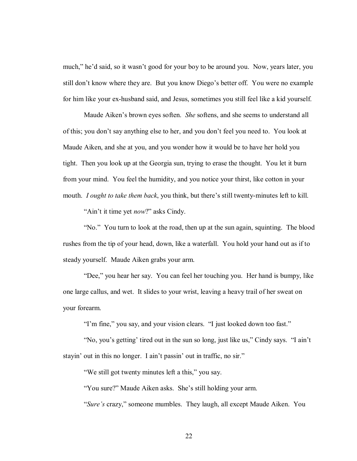much," he'd said, so it wasn't good for your boy to be around you. Now, years later, you still don't know where they are. But you know Diego's better off. You were no example for him like your ex-husband said, and Jesus, sometimes you still feel like a kid yourself.

Maude Aiken's brown eyes soften. *She* softens, and she seems to understand all of this; you don't say anything else to her, and you don't feel you need to. You look at Maude Aiken, and she at you, and you wonder how it would be to have her hold you tight. Then you look up at the Georgia sun, trying to erase the thought. You let it burn from your mind. You feel the humidity, and you notice your thirst, like cotton in your mouth. *I ought to take them back*, you think, but there's still twenty-minutes left to kill.

"Ain't it time yet *now*?" asks Cindy.

 ìNo.î You turn to look at the road, then up at the sun again, squinting. The blood rushes from the tip of your head, down, like a waterfall. You hold your hand out as if to steady yourself. Maude Aiken grabs your arm.

"Dee," you hear her say. You can feel her touching you. Her hand is bumpy, like one large callus, and wet. It slides to your wrist, leaving a heavy trail of her sweat on your forearm.

"I'm fine," you say, and your vision clears. "I just looked down too fast."

"No, you's getting' tired out in the sun so long, just like us," Cindy says. "I ain't stayin' out in this no longer. I ain't passin' out in traffic, no sir."

"We still got twenty minutes left a this," you say.

"You sure?" Maude Aiken asks. She's still holding your arm.

*iSure's* crazy," someone mumbles. They laugh, all except Maude Aiken. You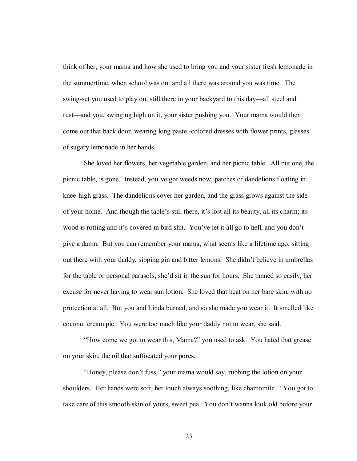think of her, your mama and how she used to bring you and your sister fresh lemonade in the summertime, when school was out and all there was around you was time. The swing-set you used to play on, still there in your backyard to this day—all steel and rust—and you, swinging high on it, your sister pushing you. Your mama would then come out that back door, wearing long pastel-colored dresses with flower prints, glasses of sugary lemonade in her hands.

 She loved her flowers, her vegetable garden, and her picnic table. All but one, the picnic table, is gone. Instead, you've got weeds now, patches of dandelions floating in knee-high grass. The dandelions cover her garden, and the grass grows against the side of your home. And though the table's still there, it's lost all its beauty, all its charm; its wood is rotting and it's covered in bird shit. You've let it all go to hell, and you don't give a damn. But you can remember your mama, what seems like a lifetime ago, sitting out there with your daddy, sipping gin and bitter lemons. She didn't believe in umbrellas for the table or personal parasols; she'd sit in the sun for hours. She tanned so easily, her excuse for never having to wear sun lotion. She loved that heat on her bare skin, with no protection at all. But you and Linda burned, and so she made you wear it. It smelled like coconut cream pie. You were too much like your daddy not to wear, she said.

 ìHow come we got to wear this, Mama?î you used to ask. You hated that grease on your skin, the oil that suffocated your pores.

"Honey, please don't fuss," your mama would say, rubbing the lotion on your shoulders. Her hands were soft, her touch always soothing, like chamomile. "You got to take care of this smooth skin of yours, sweet pea. You don't wanna look old before your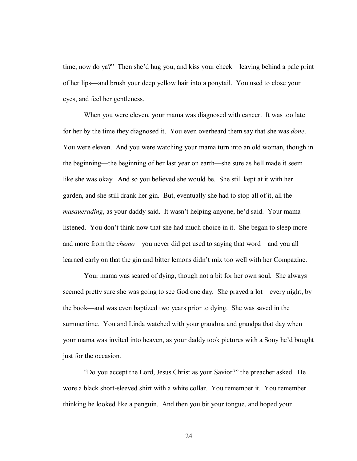time, now do ya?" Then she'd hug you, and kiss your cheek—leaving behind a pale print of her lips—and brush your deep yellow hair into a ponytail. You used to close your eyes, and feel her gentleness.

 When you were eleven, your mama was diagnosed with cancer. It was too late for her by the time they diagnosed it. You even overheard them say that she was *done*. You were eleven. And you were watching your mama turn into an old woman, though in the beginning—the beginning of her last year on earth—she sure as hell made it seem like she was okay. And so you believed she would be. She still kept at it with her garden, and she still drank her gin. But, eventually she had to stop all of it, all the *masquerading*, as your daddy said. It wasn't helping anyone, he'd said. Your mama listened. You don't think now that she had much choice in it. She began to sleep more and more from the *chemo*—you never did get used to saying that word—and you all learned early on that the gin and bitter lemons didn't mix too well with her Compazine.

 Your mama was scared of dying, though not a bit for her own soul. She always seemed pretty sure she was going to see God one day. She prayed a lot—every night, by the book—and was even baptized two years prior to dying. She was saved in the summertime. You and Linda watched with your grandma and grandpa that day when your mama was invited into heaven, as your daddy took pictures with a Sony he'd bought just for the occasion.

 ìDo you accept the Lord, Jesus Christ as your Savior?î the preacher asked. He wore a black short-sleeved shirt with a white collar. You remember it. You remember thinking he looked like a penguin. And then you bit your tongue, and hoped your

24 and 24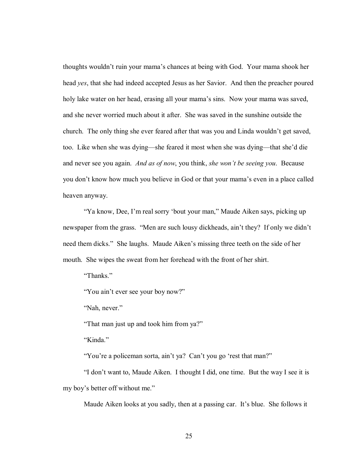thoughts wouldn't ruin your mama's chances at being with God. Your mama shook her head *yes*, that she had indeed accepted Jesus as her Savior. And then the preacher poured holy lake water on her head, erasing all your mama's sins. Now your mama was saved, and she never worried much about it after. She was saved in the sunshine outside the church. The only thing she ever feared after that was you and Linda wouldn't get saved, too. Like when she was dying—she feared it most when she was dying—that she'd die and never see you again. *And as of now*, you think, *she won't be seeing you*. Because you don't know how much you believe in God or that your mama's even in a place called heaven anyway.

"Ya know, Dee, I'm real sorry 'bout your man," Maude Aiken says, picking up newspaper from the grass. "Men are such lousy dickheads, ain't they? If only we didn't need them dicks." She laughs. Maude Aiken's missing three teeth on the side of her mouth. She wipes the sweat from her forehead with the front of her shirt.

"Thanks"

"You ain't ever see your boy now?"

"Nah, never."

"That man just up and took him from ya?"

 $Kinda$ .

"You're a policeman sorta, ain't ya? Can't you go 'rest that man?"

 ìI donít want to, Maude Aiken. I thought I did, one time. But the way I see it is my boy's better off without me."

Maude Aiken looks at you sadly, then at a passing car. It's blue. She follows it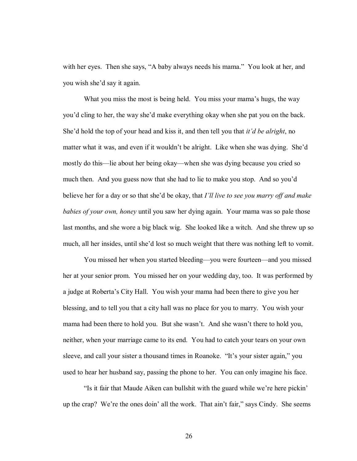with her eyes. Then she says, "A baby always needs his mama." You look at her, and you wish she'd say it again.

What you miss the most is being held. You miss your mama's hugs, the way you'd cling to her, the way she'd make everything okay when she pat you on the back. She'd hold the top of your head and kiss it, and then tell you that *it'd be alright*, no matter what it was, and even if it wouldn't be alright. Like when she was dying. She'd mostly do this—lie about her being okay—when she was dying because you cried so much then. And you guess now that she had to lie to make you stop. And so you'd believe her for a day or so that she'd be okay, that *I'll live to see you marry off and make babies of your own, honey* until you saw her dying again. Your mama was so pale those last months, and she wore a big black wig. She looked like a witch. And she threw up so much, all her insides, until she'd lost so much weight that there was nothing left to vomit.

You missed her when you started bleeding—you were fourteen—and you missed her at your senior prom. You missed her on your wedding day, too. It was performed by a judge at Robertaís City Hall. You wish your mama had been there to give you her blessing, and to tell you that a city hall was no place for you to marry. You wish your mama had been there to hold you. But she wasn't. And she wasn't there to hold you, neither, when your marriage came to its end. You had to catch your tears on your own sleeve, and call your sister a thousand times in Roanoke. "It's your sister again," you used to hear her husband say, passing the phone to her. You can only imagine his face.

"Is it fair that Maude Aiken can bullshit with the guard while we're here pickin" up the crap? We're the ones doin' all the work. That ain't fair," says Cindy. She seems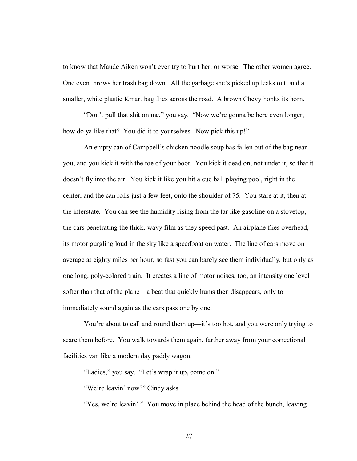to know that Maude Aiken won't ever try to hurt her, or worse. The other women agree. One even throws her trash bag down. All the garbage she's picked up leaks out, and a smaller, white plastic Kmart bag flies across the road. A brown Chevy honks its horn.

"Don't pull that shit on me," you say. "Now we're gonna be here even longer, how do ya like that? You did it to yourselves. Now pick this up!"

An empty can of Campbell's chicken noodle soup has fallen out of the bag near you, and you kick it with the toe of your boot. You kick it dead on, not under it, so that it doesn't fly into the air. You kick it like you hit a cue ball playing pool, right in the center, and the can rolls just a few feet, onto the shoulder of 75. You stare at it, then at the interstate. You can see the humidity rising from the tar like gasoline on a stovetop, the cars penetrating the thick, wavy film as they speed past. An airplane flies overhead, its motor gurgling loud in the sky like a speedboat on water. The line of cars move on average at eighty miles per hour, so fast you can barely see them individually, but only as one long, poly-colored train. It creates a line of motor noises, too, an intensity one level softer than that of the plane—a beat that quickly hums then disappears, only to immediately sound again as the cars pass one by one.

You're about to call and round them up—it's too hot, and you were only trying to scare them before. You walk towards them again, farther away from your correctional facilities van like a modern day paddy wagon.

"Ladies," you say. "Let's wrap it up, come on."

"We're leavin' now?" Cindy asks.

"Yes, we're leavin'." You move in place behind the head of the bunch, leaving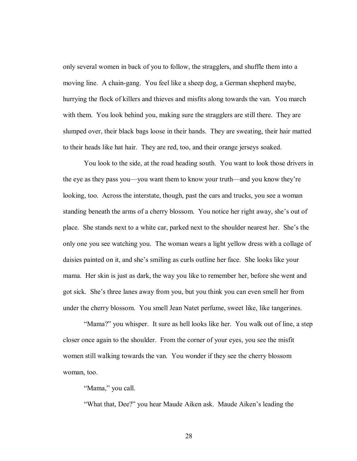only several women in back of you to follow, the stragglers, and shuffle them into a moving line. A chain-gang. You feel like a sheep dog, a German shepherd maybe, hurrying the flock of killers and thieves and misfits along towards the van. You march with them. You look behind you, making sure the stragglers are still there. They are slumped over, their black bags loose in their hands. They are sweating, their hair matted to their heads like hat hair. They are red, too, and their orange jerseys soaked.

 You look to the side, at the road heading south. You want to look those drivers in the eye as they pass you—you want them to know your truth—and you know they're looking, too. Across the interstate, though, past the cars and trucks, you see a woman standing beneath the arms of a cherry blossom. You notice her right away, she's out of place. She stands next to a white car, parked next to the shoulder nearest her. She's the only one you see watching you. The woman wears a light yellow dress with a collage of daisies painted on it, and she's smiling as curls outline her face. She looks like your mama. Her skin is just as dark, the way you like to remember her, before she went and got sick. She's three lanes away from you, but you think you can even smell her from under the cherry blossom. You smell Jean Natet perfume, sweet like, like tangerines.

"Mama?" you whisper. It sure as hell looks like her. You walk out of line, a step closer once again to the shoulder. From the corner of your eyes, you see the misfit women still walking towards the van. You wonder if they see the cherry blossom woman, too.

"Mama," you call.

"What that, Dee?" you hear Maude Aiken ask. Maude Aiken's leading the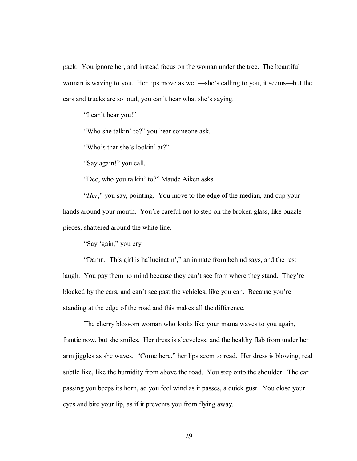pack. You ignore her, and instead focus on the woman under the tree. The beautiful woman is waving to you. Her lips move as well—she's calling to you, it seems—but the cars and trucks are so loud, you can't hear what she's saying.

"I can't hear you!"

"Who she talkin' to?" you hear someone ask.

"Who's that she's lookin' at?"

"Say again!" you call.

"Dee, who you talkin' to?" Maude Aiken asks.

*<sup>\*</sup>Her*," you say, pointing. You move to the edge of the median, and cup your hands around your mouth. You're careful not to step on the broken glass, like puzzle pieces, shattered around the white line.

"Say 'gain," you cry.

"Damn. This girl is hallucinatin"," an inmate from behind says, and the rest laugh. You pay them no mind because they can't see from where they stand. They're blocked by the cars, and can't see past the vehicles, like you can. Because you're standing at the edge of the road and this makes all the difference.

 The cherry blossom woman who looks like your mama waves to you again, frantic now, but she smiles. Her dress is sleeveless, and the healthy flab from under her arm jiggles as she waves. "Come here," her lips seem to read. Her dress is blowing, real subtle like, like the humidity from above the road. You step onto the shoulder. The car passing you beeps its horn, ad you feel wind as it passes, a quick gust. You close your eyes and bite your lip, as if it prevents you from flying away.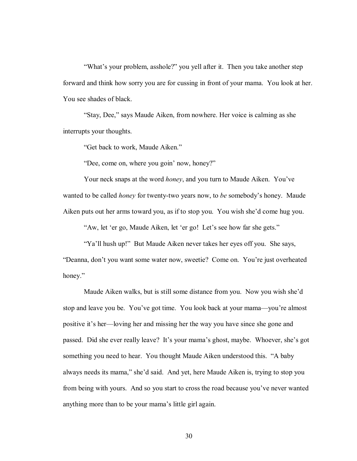"What's your problem, asshole?" you yell after it. Then you take another step forward and think how sorry you are for cussing in front of your mama. You look at her. You see shades of black.

"Stay, Dee," says Maude Aiken, from nowhere. Her voice is calming as she interrupts your thoughts.

"Get back to work, Maude Aiken."

"Dee, come on, where you goin' now, honey?"

Your neck snaps at the word *honey*, and you turn to Maude Aiken. You've wanted to be called *honey* for twenty-two years now, to *be* somebody's honey. Maude Aiken puts out her arms toward you, as if to stop you. You wish she'd come hug you.

"Aw, let 'er go, Maude Aiken, let 'er go! Let's see how far she gets."

ìYaíll hush up!î But Maude Aiken never takes her eyes off you. She says,

ìDeanna, donít you want some water now, sweetie? Come on. Youíre just overheated honey."

Maude Aiken walks, but is still some distance from you. Now you wish she'd stop and leave you be. You've got time. You look back at your mama—you're almost positive it's her—loving her and missing her the way you have since she gone and passed. Did she ever really leave? It's your mama's ghost, maybe. Whoever, she's got something you need to hear. You thought Maude Aiken understood this. "A baby always needs its mama," she'd said. And yet, here Maude Aiken is, trying to stop you from being with yours. And so you start to cross the road because you've never wanted anything more than to be your mama's little girl again.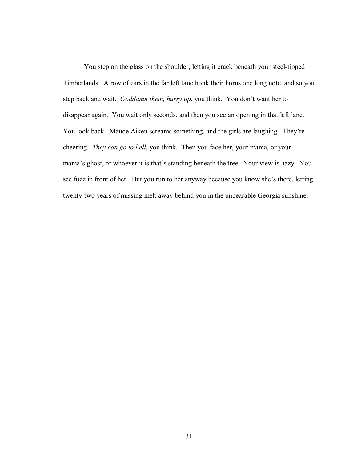You step on the glass on the shoulder, letting it crack beneath your steel-tipped Timberlands. A row of cars in the far left lane honk their horns one long note, and so you step back and wait. *Goddamn them, hurry up*, you think. You don't want her to disappear again. You wait only seconds, and then you see an opening in that left lane. You look back. Maude Aiken screams something, and the girls are laughing. They're cheering. *They can go to hell*, you think. Then you face her, your mama, or your mama's ghost, or whoever it is that's standing beneath the tree. Your view is hazy. You see fuzz in front of her. But you run to her anyway because you know she's there, letting twenty-two years of missing melt away behind you in the unbearable Georgia sunshine.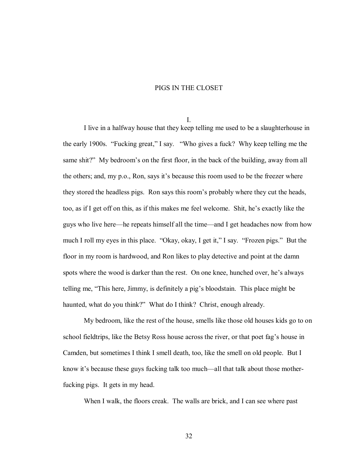## PIGS IN THE CLOSET

I.

 I live in a halfway house that they keep telling me used to be a slaughterhouse in the early 1900s. "Fucking great," I say. "Who gives a fuck? Why keep telling me the same shit?" My bedroom's on the first floor, in the back of the building, away from all the others; and, my p.o., Ron, says it's because this room used to be the freezer where they stored the headless pigs. Ron says this room's probably where they cut the heads, too, as if I get off on this, as if this makes me feel welcome. Shit, he's exactly like the guys who live here—he repeats himself all the time—and I get headaches now from how much I roll my eyes in this place. "Okay, okay, I get it," I say. "Frozen pigs." But the floor in my room is hardwood, and Ron likes to play detective and point at the damn spots where the wood is darker than the rest. On one knee, hunched over, he's always telling me, "This here, Jimmy, is definitely a pig's bloodstain. This place might be haunted, what do you think?" What do I think? Christ, enough already.

 My bedroom, like the rest of the house, smells like those old houses kids go to on school fieldtrips, like the Betsy Ross house across the river, or that poet fag's house in Camden, but sometimes I think I smell death, too, like the smell on old people. But I know it's because these guys fucking talk too much—all that talk about those motherfucking pigs. It gets in my head.

When I walk, the floors creak. The walls are brick, and I can see where past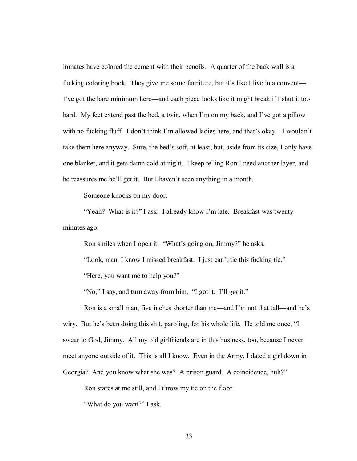inmates have colored the cement with their pencils. A quarter of the back wall is a fucking coloring book. They give me some furniture, but it's like I live in a convent— I've got the bare minimum here—and each piece looks like it might break if I shut it too hard. My feet extend past the bed, a twin, when I'm on my back, and I've got a pillow with no fucking fluff. I don't think I'm allowed ladies here, and that's okay—I wouldn't take them here anyway. Sure, the bed's soft, at least; but, aside from its size, I only have one blanket, and it gets damn cold at night. I keep telling Ron I need another layer, and he reassures me he'll get it. But I haven't seen anything in a month.

Someone knocks on my door.

"Yeah? What is it?" I ask. I already know I'm late. Breakfast was twenty minutes ago.

Ron smiles when I open it. "What's going on, Jimmy?" he asks.

"Look, man, I know I missed breakfast. I just can't tie this fucking tie."

"Here, you want me to help you?"

"No," I say, and turn away from him. "I got it. I'll *get* it."

Ron is a small man, five inches shorter than me—and I'm not that tall—and he's wiry. But he's been doing this shit, paroling, for his whole life. He told me once, "I swear to God, Jimmy. All my old girlfriends are in this business, too, because I never meet anyone outside of it. This is all I know. Even in the Army, I dated a girl down in Georgia? And you know what she was? A prison guard. A coincidence, huh?"

Ron stares at me still, and I throw my tie on the floor.

ìWhat do you want?î I ask.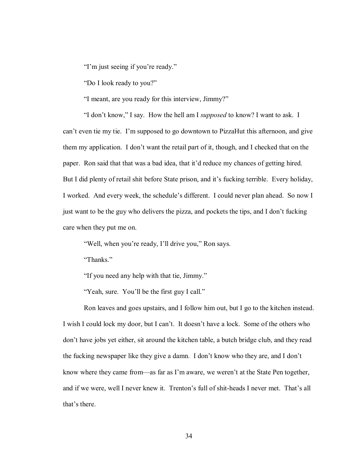"I'm just seeing if you're ready."

"Do I look ready to you?"

"I meant, are you ready for this interview, Jimmy?"

 ìI donít know,î I say. How the hell am I *supposed* to know? I want to ask. I can't even tie my tie. I'm supposed to go downtown to PizzaHut this afternoon, and give them my application. I don't want the retail part of it, though, and I checked that on the paper. Ron said that that was a bad idea, that it'd reduce my chances of getting hired. But I did plenty of retail shit before State prison, and it's fucking terrible. Every holiday, I worked. And every week, the schedule's different. I could never plan ahead. So now I just want to be the guy who delivers the pizza, and pockets the tips, and I don't fucking care when they put me on.

"Well, when you're ready, I'll drive you," Ron says.

"Thanks."

"If you need any help with that tie, Jimmy."

"Yeah, sure. You'll be the first guy I call."

 Ron leaves and goes upstairs, and I follow him out, but I go to the kitchen instead. I wish I could lock my door, but I can't. It doesn't have a lock. Some of the others who don't have jobs yet either, sit around the kitchen table, a butch bridge club, and they read the fucking newspaper like they give a damn. I don't know who they are, and I don't know where they came from—as far as I'm aware, we weren't at the State Pen together, and if we were, well I never knew it. Trenton's full of shit-heads I never met. That's all that's there.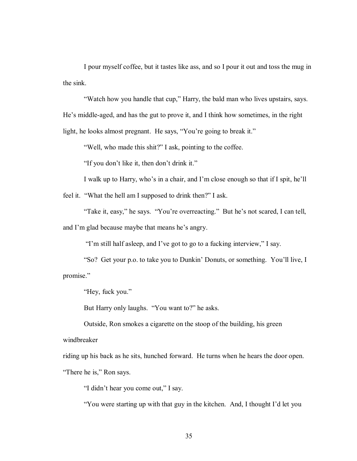I pour myself coffee, but it tastes like ass, and so I pour it out and toss the mug in the sink.

 ìWatch how you handle that cup,î Harry, the bald man who lives upstairs, says. He's middle-aged, and has the gut to prove it, and I think how sometimes, in the right light, he looks almost pregnant. He says, "You're going to break it."

"Well, who made this shit?" I ask, pointing to the coffee.

"If you don't like it, then don't drink it."

I walk up to Harry, who's in a chair, and I'm close enough so that if I spit, he'll

feel it. "What the hell am I supposed to drink then?" I ask.

"Take it, easy," he says. "You're overreacting." But he's not scared, I can tell, and I'm glad because maybe that means he's angry.

"I'm still half asleep, and I've got to go to a fucking interview," I say.

"So? Get your p.o. to take you to Dunkin' Donuts, or something. You'll live, I promise."

"Hey, fuck you."

But Harry only laughs. "You want to?" he asks.

 Outside, Ron smokes a cigarette on the stoop of the building, his green windbreaker

riding up his back as he sits, hunched forward. He turns when he hears the door open. "There he is," Ron says.

"I didn't hear you come out," I say.

ìYou were starting up with that guy in the kitchen. And, I thought Iíd let you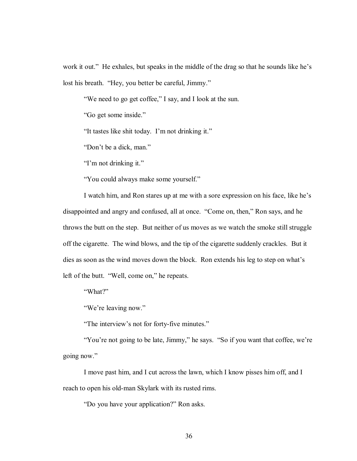work it out." He exhales, but speaks in the middle of the drag so that he sounds like he's lost his breath. "Hey, you better be careful, Jimmy."

ìWe need to go get coffee,î I say, and I look at the sun.

"Go get some inside."

"It tastes like shit today. I'm not drinking it."

"Don't be a dick, man."

"I'm not drinking it."

"You could always make some yourself."

I watch him, and Ron stares up at me with a sore expression on his face, like he's disappointed and angry and confused, all at once. "Come on, then," Ron says, and he throws the butt on the step. But neither of us moves as we watch the smoke still struggle off the cigarette. The wind blows, and the tip of the cigarette suddenly crackles. But it dies as soon as the wind moves down the block. Ron extends his leg to step on what's left of the butt. "Well, come on," he repeats.

"What?"

"We're leaving now."

"The interview's not for forty-five minutes."

"You're not going to be late, Jimmy," he says. "So if you want that coffee, we're going now."

I move past him, and I cut across the lawn, which I know pisses him off, and I reach to open his old-man Skylark with its rusted rims.

ìDo you have your application?î Ron asks.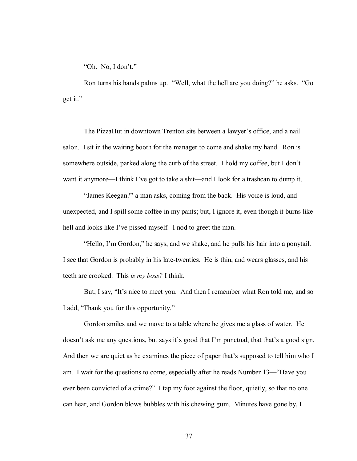"Oh. No, I don't."

Ron turns his hands palms up. "Well, what the hell are you doing?" he asks. "Go get it."

The PizzaHut in downtown Trenton sits between a lawyer's office, and a nail salon. I sit in the waiting booth for the manager to come and shake my hand. Ron is somewhere outside, parked along the curb of the street. I hold my coffee, but I don't want it anymore—I think I've got to take a shit—and I look for a trashcan to dump it.

"James Keegan?" a man asks, coming from the back. His voice is loud, and unexpected, and I spill some coffee in my pants; but, I ignore it, even though it burns like hell and looks like I've pissed myself. I nod to greet the man.

"Hello, I'm Gordon," he says, and we shake, and he pulls his hair into a ponytail. I see that Gordon is probably in his late-twenties. He is thin, and wears glasses, and his teeth are crooked. This *is my boss?* I think.

But, I say, "It's nice to meet you. And then I remember what Ron told me, and so I add, "Thank you for this opportunity."

 Gordon smiles and we move to a table where he gives me a glass of water. He doesn't ask me any questions, but says it's good that I'm punctual, that that's a good sign. And then we are quiet as he examines the piece of paper that's supposed to tell him who I am. I wait for the questions to come, especially after he reads Number 13— "Have you ever been convicted of a crime?" I tap my foot against the floor, quietly, so that no one can hear, and Gordon blows bubbles with his chewing gum. Minutes have gone by, I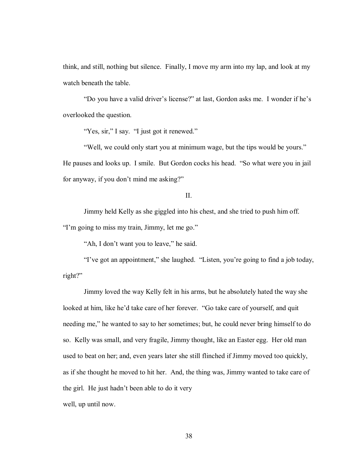think, and still, nothing but silence. Finally, I move my arm into my lap, and look at my watch beneath the table.

"Do you have a valid driver's license?" at last, Gordon asks me. I wonder if he's overlooked the question.

"Yes, sir," I say. "I just got it renewed."

"Well, we could only start you at minimum wage, but the tips would be yours." He pauses and looks up. I smile. But Gordon cocks his head. "So what were you in jail for anyway, if you don't mind me asking?"

# II.

 Jimmy held Kelly as she giggled into his chest, and she tried to push him off. "I'm going to miss my train, Jimmy, let me go."

"Ah, I don't want you to leave," he said.

I've got an appointment," she laughed. "Listen, you're going to find a job today, right?"

Jimmy loved the way Kelly felt in his arms, but he absolutely hated the way she looked at him, like he'd take care of her forever. "Go take care of yourself, and quit needing me," he wanted to say to her sometimes; but, he could never bring himself to do so. Kelly was small, and very fragile, Jimmy thought, like an Easter egg. Her old man used to beat on her; and, even years later she still flinched if Jimmy moved too quickly, as if she thought he moved to hit her. And, the thing was, Jimmy wanted to take care of the girl. He just hadn't been able to do it very well, up until now.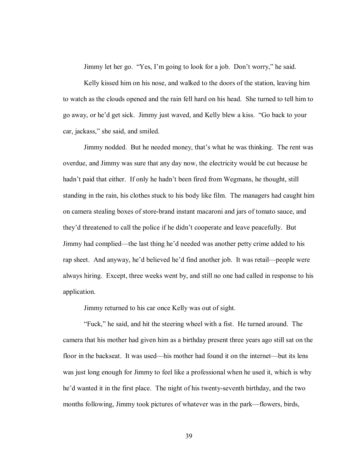Jimmy let her go. "Yes, I'm going to look for a job. Don't worry," he said.

 Kelly kissed him on his nose, and walked to the doors of the station, leaving him to watch as the clouds opened and the rain fell hard on his head. She turned to tell him to go away, or he'd get sick. Jimmy just waved, and Kelly blew a kiss. "Go back to your car, jackass," she said, and smiled.

Jimmy nodded. But he needed money, that's what he was thinking. The rent was overdue, and Jimmy was sure that any day now, the electricity would be cut because he hadn't paid that either. If only he hadn't been fired from Wegmans, he thought, still standing in the rain, his clothes stuck to his body like film. The managers had caught him on camera stealing boxes of store-brand instant macaroni and jars of tomato sauce, and they'd threatened to call the police if he didn't cooperate and leave peacefully. But Jimmy had complied—the last thing he'd needed was another petty crime added to his rap sheet. And anyway, he'd believed he'd find another job. It was retail—people were always hiring. Except, three weeks went by, and still no one had called in response to his application.

Jimmy returned to his car once Kelly was out of sight.

ìFuck,î he said, and hit the steering wheel with a fist. He turned around. The camera that his mother had given him as a birthday present three years ago still sat on the floor in the backseat. It was used—his mother had found it on the internet—but its lens was just long enough for Jimmy to feel like a professional when he used it, which is why he'd wanted it in the first place. The night of his twenty-seventh birthday, and the two months following, Jimmy took pictures of whatever was in the park—flowers, birds,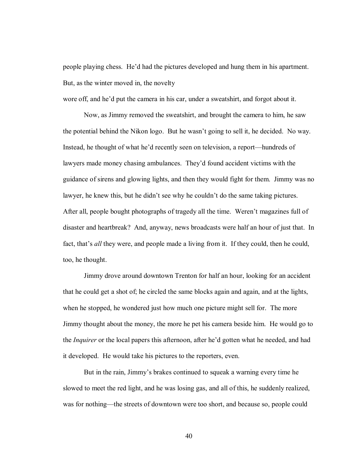people playing chess. He'd had the pictures developed and hung them in his apartment. But, as the winter moved in, the novelty

wore off, and he'd put the camera in his car, under a sweatshirt, and forgot about it.

Now, as Jimmy removed the sweatshirt, and brought the camera to him, he saw the potential behind the Nikon logo. But he wasn't going to sell it, he decided. No way. Instead, he thought of what he'd recently seen on television, a report—hundreds of lawyers made money chasing ambulances. They'd found accident victims with the guidance of sirens and glowing lights, and then they would fight for them. Jimmy was no lawyer, he knew this, but he didn't see why he couldn't do the same taking pictures. After all, people bought photographs of tragedy all the time. Weren't magazines full of disaster and heartbreak? And, anyway, news broadcasts were half an hour of just that. In fact, that's *all* they were, and people made a living from it. If they could, then he could, too, he thought.

 Jimmy drove around downtown Trenton for half an hour, looking for an accident that he could get a shot of; he circled the same blocks again and again, and at the lights, when he stopped, he wondered just how much one picture might sell for. The more Jimmy thought about the money, the more he pet his camera beside him. He would go to the *Inquirer* or the local papers this afternoon, after he'd gotten what he needed, and had it developed. He would take his pictures to the reporters, even.

But in the rain, Jimmy's brakes continued to squeak a warning every time he slowed to meet the red light, and he was losing gas, and all of this, he suddenly realized, was for nothing—the streets of downtown were too short, and because so, people could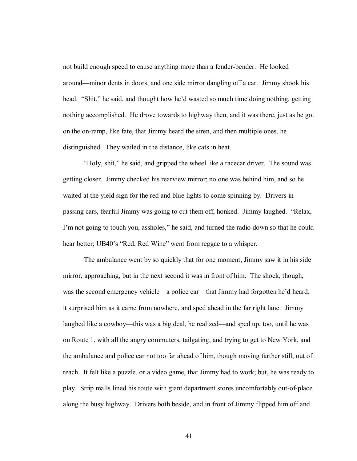not build enough speed to cause anything more than a fender-bender. He looked around—minor dents in doors, and one side mirror dangling off a car. Jimmy shook his head. "Shit," he said, and thought how he'd wasted so much time doing nothing, getting nothing accomplished. He drove towards to highway then, and it was there, just as he got on the on-ramp, like fate, that Jimmy heard the siren, and then multiple ones, he distinguished. They wailed in the distance, like cats in heat.

"Holy, shit," he said, and gripped the wheel like a racecar driver. The sound was getting closer. Jimmy checked his rearview mirror; no one was behind him, and so he waited at the yield sign for the red and blue lights to come spinning by. Drivers in passing cars, fearful Jimmy was going to cut them off, honked. Jimmy laughed. "Relax, I'm not going to touch you, assholes," he said, and turned the radio down so that he could hear better; UB40's "Red, Red Wine" went from reggae to a whisper.

The ambulance went by so quickly that for one moment, Jimmy saw it in his side mirror, approaching, but in the next second it was in front of him. The shock, though, was the second emergency vehicle—a police car—that Jimmy had forgotten he'd heard; it surprised him as it came from nowhere, and sped ahead in the far right lane. Jimmy laughed like a cowboy—this was a big deal, he realized—and sped up, too, until he was on Route 1, with all the angry commuters, tailgating, and trying to get to New York, and the ambulance and police car not too far ahead of him, though moving farther still, out of reach. It felt like a puzzle, or a video game, that Jimmy had to work; but, he was ready to play. Strip malls lined his route with giant department stores uncomfortably out-of-place along the busy highway. Drivers both beside, and in front of Jimmy flipped him off and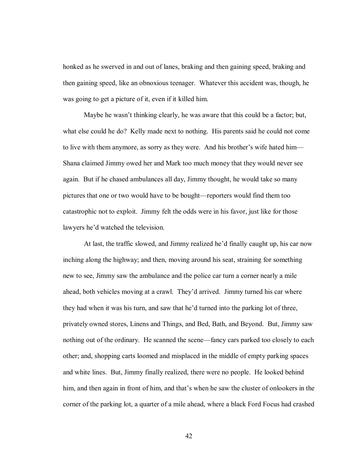honked as he swerved in and out of lanes, braking and then gaining speed, braking and then gaining speed, like an obnoxious teenager. Whatever this accident was, though, he was going to get a picture of it, even if it killed him.

Maybe he wasn't thinking clearly, he was aware that this could be a factor; but, what else could he do? Kelly made next to nothing. His parents said he could not come to live with them anymore, as sorry as they were. And his brother's wife hated him— Shana claimed Jimmy owed her and Mark too much money that they would never see again. But if he chased ambulances all day, Jimmy thought, he would take so many pictures that one or two would have to be bought—reporters would find them too catastrophic not to exploit. Jimmy felt the odds were in his favor, just like for those lawyers he'd watched the television.

At last, the traffic slowed, and Jimmy realized he'd finally caught up, his car now inching along the highway; and then, moving around his seat, straining for something new to see, Jimmy saw the ambulance and the police car turn a corner nearly a mile ahead, both vehicles moving at a crawl. They'd arrived. Jimmy turned his car where they had when it was his turn, and saw that he'd turned into the parking lot of three, privately owned stores, Linens and Things, and Bed, Bath, and Beyond. But, Jimmy saw nothing out of the ordinary. He scanned the scene—fancy cars parked too closely to each other; and, shopping carts loomed and misplaced in the middle of empty parking spaces and white lines. But, Jimmy finally realized, there were no people. He looked behind him, and then again in front of him, and that's when he saw the cluster of onlookers in the corner of the parking lot, a quarter of a mile ahead, where a black Ford Focus had crashed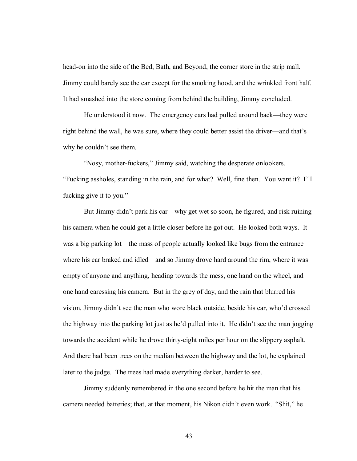head-on into the side of the Bed, Bath, and Beyond, the corner store in the strip mall. Jimmy could barely see the car except for the smoking hood, and the wrinkled front half. It had smashed into the store coming from behind the building, Jimmy concluded.

He understood it now. The emergency cars had pulled around back—they were right behind the wall, he was sure, where they could better assist the driver—and that's why he couldn't see them.

"Nosy, mother-fuckers," Jimmy said, watching the desperate onlookers. ìFucking assholes, standing in the rain, and for what? Well, fine then. You want it? Iíll fucking give it to you."

But Jimmy didn't park his car—why get wet so soon, he figured, and risk ruining his camera when he could get a little closer before he got out. He looked both ways. It was a big parking lot—the mass of people actually looked like bugs from the entrance where his car braked and idled—and so Jimmy drove hard around the rim, where it was empty of anyone and anything, heading towards the mess, one hand on the wheel, and one hand caressing his camera. But in the grey of day, and the rain that blurred his vision, Jimmy didn't see the man who wore black outside, beside his car, who'd crossed the highway into the parking lot just as he'd pulled into it. He didn't see the man jogging towards the accident while he drove thirty-eight miles per hour on the slippery asphalt. And there had been trees on the median between the highway and the lot, he explained later to the judge. The trees had made everything darker, harder to see.

Jimmy suddenly remembered in the one second before he hit the man that his camera needed batteries; that, at that moment, his Nikon didn't even work. "Shit," he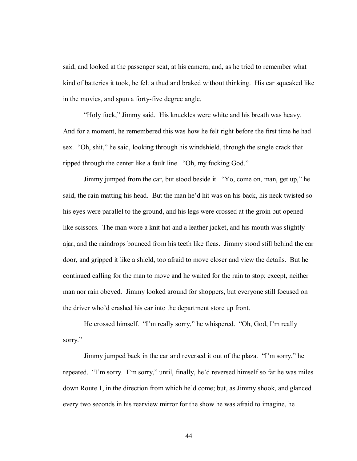said, and looked at the passenger seat, at his camera; and, as he tried to remember what kind of batteries it took, he felt a thud and braked without thinking. His car squeaked like in the movies, and spun a forty-five degree angle.

"Holy fuck," Jimmy said. His knuckles were white and his breath was heavy. And for a moment, he remembered this was how he felt right before the first time he had sex. "Oh, shit," he said, looking through his windshield, through the single crack that ripped through the center like a fault line. "Oh, my fucking God."

Jimmy jumped from the car, but stood beside it. "Yo, come on, man, get up," he said, the rain matting his head. But the man he'd hit was on his back, his neck twisted so his eyes were parallel to the ground, and his legs were crossed at the groin but opened like scissors. The man wore a knit hat and a leather jacket, and his mouth was slightly ajar, and the raindrops bounced from his teeth like fleas. Jimmy stood still behind the car door, and gripped it like a shield, too afraid to move closer and view the details. But he continued calling for the man to move and he waited for the rain to stop; except, neither man nor rain obeyed. Jimmy looked around for shoppers, but everyone still focused on the driver who'd crashed his car into the department store up front.

He crossed himself. "I'm really sorry," he whispered. "Oh, God, I'm really sorry."

Jimmy jumped back in the car and reversed it out of the plaza. "I'm sorry," he repeated. "I'm sorry. I'm sorry," until, finally, he'd reversed himself so far he was miles down Route 1, in the direction from which he'd come; but, as Jimmy shook, and glanced every two seconds in his rearview mirror for the show he was afraid to imagine, he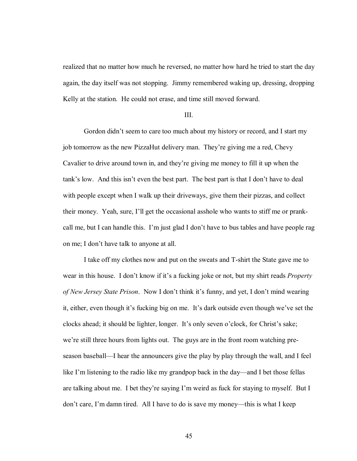realized that no matter how much he reversed, no matter how hard he tried to start the day again, the day itself was not stopping. Jimmy remembered waking up, dressing, dropping Kelly at the station. He could not erase, and time still moved forward.

#### III.

Gordon didn't seem to care too much about my history or record, and I start my job tomorrow as the new PizzaHut delivery man. They're giving me a red, Chevy Cavalier to drive around town in, and they're giving me money to fill it up when the tank's low. And this isn't even the best part. The best part is that I don't have to deal with people except when I walk up their driveways, give them their pizzas, and collect their money. Yeah, sure, I'll get the occasional asshole who wants to stiff me or prankcall me, but I can handle this. I'm just glad I don't have to bus tables and have people rag on me; I don't have talk to anyone at all.

 I take off my clothes now and put on the sweats and T-shirt the State gave me to wear in this house. I don't know if it's a fucking joke or not, but my shirt reads *Property of New Jersey State Prison.* Now I don't think it's funny, and yet, I don't mind wearing it, either, even though it's fucking big on me. It's dark outside even though we've set the clocks ahead; it should be lighter, longer. It's only seven o'clock, for Christ's sake; we're still three hours from lights out. The guys are in the front room watching preseason baseball—I hear the announcers give the play by play through the wall, and I feel like I'm listening to the radio like my grandpop back in the day—and I bet those fellas are talking about me. I bet they're saying I'm weird as fuck for staying to myself. But I don't care, I'm damn tired. All I have to do is save my money—this is what I keep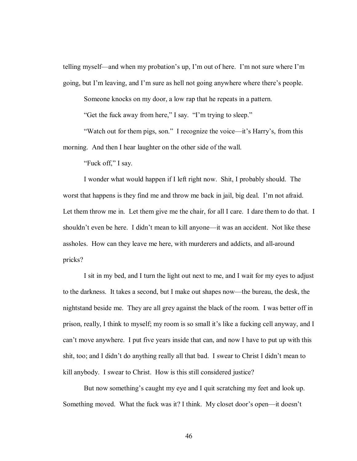telling myself—and when my probation's up, I'm out of here. I'm not sure where I'm going, but I'm leaving, and I'm sure as hell not going anywhere where there's people.

Someone knocks on my door, a low rap that he repeats in a pattern.

"Get the fuck away from here," I say. "I'm trying to sleep."

"Watch out for them pigs, son." I recognize the voice—it's Harry's, from this morning. And then I hear laughter on the other side of the wall.

"Fuck off," I say.

 I wonder what would happen if I left right now. Shit, I probably should. The worst that happens is they find me and throw me back in jail, big deal. I'm not afraid. Let them throw me in. Let them give me the chair, for all I care. I dare them to do that. I shouldn't even be here. I didn't mean to kill anyone—it was an accident. Not like these assholes. How can they leave me here, with murderers and addicts, and all-around pricks?

 I sit in my bed, and I turn the light out next to me, and I wait for my eyes to adjust to the darkness. It takes a second, but I make out shapes now—the bureau, the desk, the nightstand beside me. They are all grey against the black of the room. I was better off in prison, really, I think to myself; my room is so small it's like a fucking cell anyway, and I can't move anywhere. I put five years inside that can, and now I have to put up with this shit, too; and I didn't do anything really all that bad. I swear to Christ I didn't mean to kill anybody. I swear to Christ. How is this still considered justice?

But now something's caught my eye and I quit scratching my feet and look up. Something moved. What the fuck was it? I think. My closet door's open—it doesn't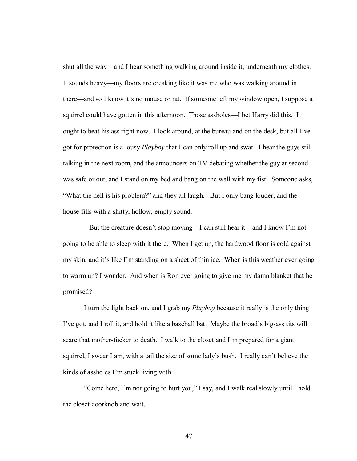shut all the way—and I hear something walking around inside it, underneath my clothes. It sounds heavy—my floors are creaking like it was me who was walking around in there—and so I know it's no mouse or rat. If someone left my window open, I suppose a squirrel could have gotten in this afternoon. Those assholes—I bet Harry did this. I ought to beat his ass right now. I look around, at the bureau and on the desk, but all I've got for protection is a lousy *Playboy* that I can only roll up and swat. I hear the guys still talking in the next room, and the announcers on TV debating whether the guy at second was safe or out, and I stand on my bed and bang on the wall with my fist. Someone asks, ìWhat the hell is his problem?î and they all laugh. But I only bang louder, and the house fills with a shitty, hollow, empty sound.

But the creature doesn't stop moving—I can still hear it—and I know I'm not going to be able to sleep with it there. When I get up, the hardwood floor is cold against my skin, and it's like I'm standing on a sheet of thin ice. When is this weather ever going to warm up? I wonder. And when is Ron ever going to give me my damn blanket that he promised?

 I turn the light back on, and I grab my *Playboy* because it really is the only thing I've got, and I roll it, and hold it like a baseball bat. Maybe the broad's big-ass tits will scare that mother-fucker to death. I walk to the closet and I'm prepared for a giant squirrel, I swear I am, with a tail the size of some lady's bush. I really can't believe the kinds of assholes I'm stuck living with.

 ìCome here, Iím not going to hurt you,î I say, and I walk real slowly until I hold the closet doorknob and wait.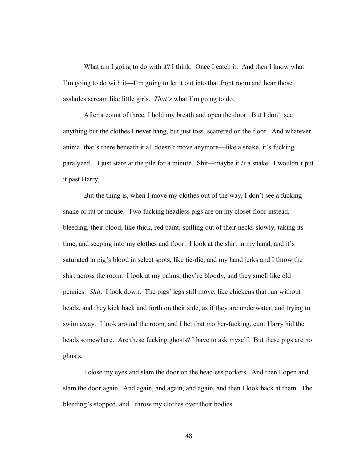What am I going to do with it? I think. Once I catch it. And then I know what I'm going to do with it—I'm going to let it out into that front room and hear those assholes scream like little girls. *That's* what I'm going to do.

After a count of three, I hold my breath and open the door. But I don't see anything but the clothes I never hang, but just toss, scattered on the floor. And whatever animal that's there beneath it all doesn't move anymore—like a snake, it's fucking paralyzed. I just stare at the pile for a minute. Shit—maybe it *is* a snake. I wouldn't put it past Harry.

But the thing is, when I move my clothes out of the way, I don't see a fucking snake or rat or mouse. Two fucking headless pigs are on my closet floor instead, bleeding, their blood, like thick, red paint, spilling out of their necks slowly, taking its time, and seeping into my clothes and floor. I look at the shirt in my hand, and it's saturated in pigís blood in select spots, like tie-die, and my hand jerks and I throw the shirt across the room. I look at my palms; theyíre bloody, and they smell like old pennies. *Shit*. I look down. The pigsí legs still move, like chickens that run without heads, and they kick back and forth on their side, as if they are underwater, and trying to swim away. I look around the room, and I bet that mother-fucking, cunt Harry hid the heads somewhere. Are these fucking ghosts? I have to ask myself. But these pigs are no ghosts.

 I close my eyes and slam the door on the headless porkers. And then I open and slam the door again. And again, and again, and again, and then I look back at them. The bleeding's stopped, and I throw my clothes over their bodies.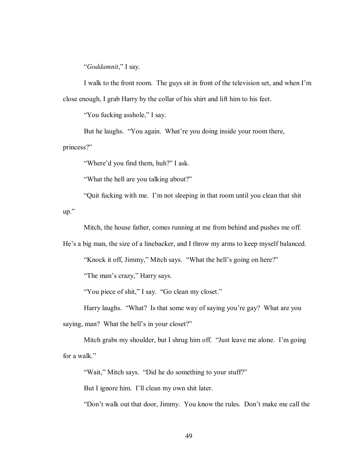ì*Goddamnit*,î I say.

I walk to the front room. The guys sit in front of the television set, and when I'm close enough, I grab Harry by the collar of his shirt and lift him to his feet.

"You fucking asshole," I say.

But he laughs. "You again. What're you doing inside your room there, princess?"

"Where'd you find them, huh?" I ask.

"What the hell are you talking about?"

 ìQuit fucking with me. Iím not sleeping in that room until you clean that shit  $up.$ "

Mitch, the house father, comes running at me from behind and pushes me off.

He's a big man, the size of a linebacker, and I throw my arms to keep myself balanced.

"Knock it off, Jimmy," Mitch says. "What the hell's going on here?"

"The man's crazy," Harry says.

"You piece of shit," I say. "Go clean my closet."

Harry laughs. "What? Is that some way of saying you're gay? What are you

saying, man? What the hell's in your closet?"

Mitch grabs my shoulder, but I shrug him off. "Just leave me alone. I'm going for a walk."

"Wait," Mitch says. "Did he do something to your stuff?"

But I ignore him. I'll clean my own shit later.

"Don't walk out that door, Jimmy. You know the rules. Don't make me call the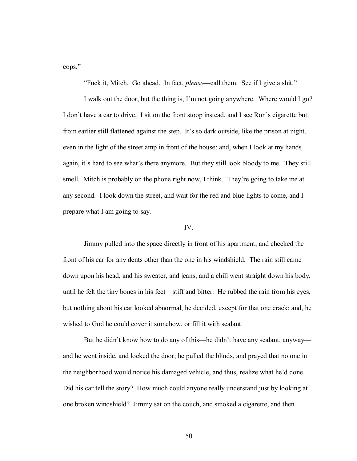cops."

"Fuck it, Mitch. Go ahead. In fact, *please*—call them. See if I give a shit."

I walk out the door, but the thing is, I'm not going anywhere. Where would I go? I don't have a car to drive. I sit on the front stoop instead, and I see Ron's cigarette butt from earlier still flattened against the step. It's so dark outside, like the prison at night, even in the light of the streetlamp in front of the house; and, when I look at my hands again, it's hard to see what's there anymore. But they still look bloody to me. They still smell. Mitch is probably on the phone right now, I think. They're going to take me at any second. I look down the street, and wait for the red and blue lights to come, and I prepare what I am going to say.

# IV.

 Jimmy pulled into the space directly in front of his apartment, and checked the front of his car for any dents other than the one in his windshield. The rain still came down upon his head, and his sweater, and jeans, and a chill went straight down his body, until he felt the tiny bones in his feet—stiff and bitter. He rubbed the rain from his eyes, but nothing about his car looked abnormal, he decided, except for that one crack; and, he wished to God he could cover it somehow, or fill it with sealant.

But he didn't know how to do any of this—he didn't have any sealant, anyway and he went inside, and locked the door; he pulled the blinds, and prayed that no one in the neighborhood would notice his damaged vehicle, and thus, realize what heíd done. Did his car tell the story? How much could anyone really understand just by looking at one broken windshield? Jimmy sat on the couch, and smoked a cigarette, and then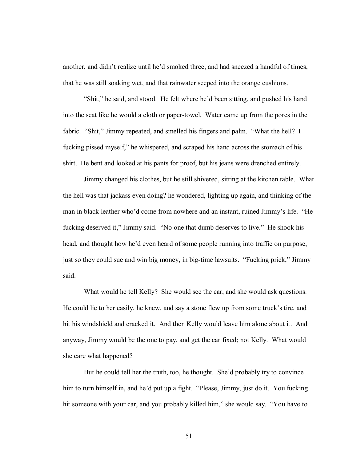another, and didn't realize until he'd smoked three, and had sneezed a handful of times, that he was still soaking wet, and that rainwater seeped into the orange cushions.

"Shit," he said, and stood. He felt where he'd been sitting, and pushed his hand into the seat like he would a cloth or paper-towel. Water came up from the pores in the fabric. "Shit," Jimmy repeated, and smelled his fingers and palm. "What the hell? I fucking pissed myself," he whispered, and scraped his hand across the stomach of his shirt. He bent and looked at his pants for proof, but his jeans were drenched entirely.

 Jimmy changed his clothes, but he still shivered, sitting at the kitchen table. What the hell was that jackass even doing? he wondered, lighting up again, and thinking of the man in black leather who'd come from nowhere and an instant, ruined Jimmy's life. "He fucking deserved it," Jimmy said. "No one that dumb deserves to live." He shook his head, and thought how he'd even heard of some people running into traffic on purpose, just so they could sue and win big money, in big-time lawsuits. "Fucking prick," Jimmy said.

 What would he tell Kelly? She would see the car, and she would ask questions. He could lie to her easily, he knew, and say a stone flew up from some truck's tire, and hit his windshield and cracked it. And then Kelly would leave him alone about it. And anyway, Jimmy would be the one to pay, and get the car fixed; not Kelly. What would she care what happened?

But he could tell her the truth, too, he thought. She'd probably try to convince him to turn himself in, and he'd put up a fight. "Please, Jimmy, just do it. You fucking hit someone with your car, and you probably killed him," she would say. "You have to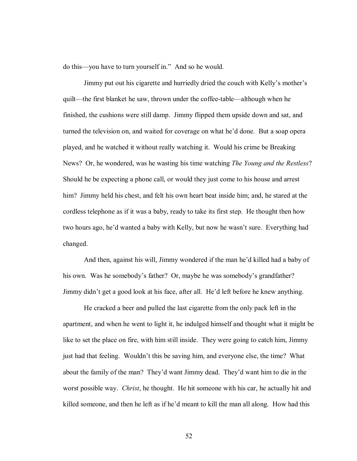do this—you have to turn yourself in." And so he would.

Jimmy put out his cigarette and hurriedly dried the couch with Kelly's mother's quilt—the first blanket he saw, thrown under the coffee-table—although when he finished, the cushions were still damp. Jimmy flipped them upside down and sat, and turned the television on, and waited for coverage on what he'd done. But a soap opera played, and he watched it without really watching it. Would his crime be Breaking News? Or, he wondered, was he wasting his time watching *The Young and the Restless*? Should he be expecting a phone call, or would they just come to his house and arrest him? Jimmy held his chest, and felt his own heart beat inside him; and, he stared at the cordless telephone as if it was a baby, ready to take its first step. He thought then how two hours ago, he'd wanted a baby with Kelly, but now he wasn't sure. Everything had changed.

And then, against his will, Jimmy wondered if the man he'd killed had a baby of his own. Was he somebody's father? Or, maybe he was somebody's grandfather? Jimmy didn't get a good look at his face, after all. He'd left before he knew anything.

 He cracked a beer and pulled the last cigarette from the only pack left in the apartment, and when he went to light it, he indulged himself and thought what it might be like to set the place on fire, with him still inside. They were going to catch him, Jimmy just had that feeling. Wouldn't this be saving him, and everyone else, the time? What about the family of the man? They'd want Jimmy dead. They'd want him to die in the worst possible way. *Christ*, he thought. He hit someone with his car, he actually hit and killed someone, and then he left as if he'd meant to kill the man all along. How had this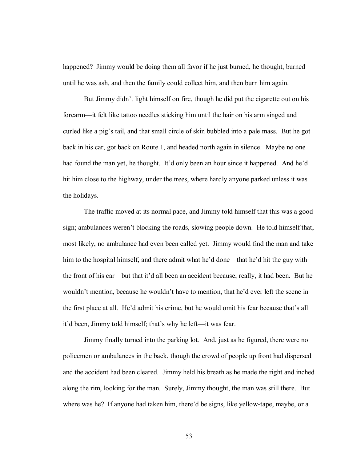happened? Jimmy would be doing them all favor if he just burned, he thought, burned until he was ash, and then the family could collect him, and then burn him again.

But Jimmy didn't light himself on fire, though he did put the cigarette out on his forearm—it felt like tattoo needles sticking him until the hair on his arm singed and curled like a pig's tail, and that small circle of skin bubbled into a pale mass. But he got back in his car, got back on Route 1, and headed north again in silence. Maybe no one had found the man yet, he thought. It'd only been an hour since it happened. And he'd hit him close to the highway, under the trees, where hardly anyone parked unless it was the holidays.

The traffic moved at its normal pace, and Jimmy told himself that this was a good sign; ambulances weren't blocking the roads, slowing people down. He told himself that, most likely, no ambulance had even been called yet. Jimmy would find the man and take him to the hospital himself, and there admit what he'd done—that he'd hit the guy with the front of his car—but that it d all been an accident because, really, it had been. But he wouldn't mention, because he wouldn't have to mention, that he'd ever left the scene in the first place at all. He'd admit his crime, but he would omit his fear because that's all it'd been, Jimmy told himself; that's why he left—it was fear.

 Jimmy finally turned into the parking lot. And, just as he figured, there were no policemen or ambulances in the back, though the crowd of people up front had dispersed and the accident had been cleared. Jimmy held his breath as he made the right and inched along the rim, looking for the man. Surely, Jimmy thought, the man was still there. But where was he? If anyone had taken him, there'd be signs, like yellow-tape, maybe, or a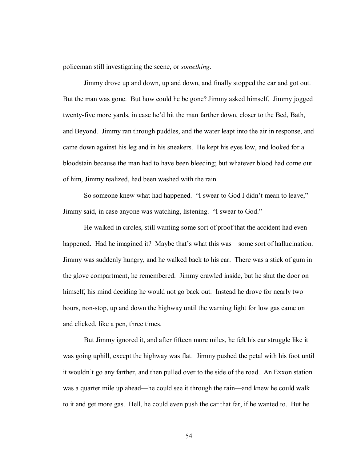policeman still investigating the scene, or *something*.

 Jimmy drove up and down, up and down, and finally stopped the car and got out. But the man was gone. But how could he be gone? Jimmy asked himself. Jimmy jogged twenty-five more yards, in case he'd hit the man farther down, closer to the Bed, Bath, and Beyond. Jimmy ran through puddles, and the water leapt into the air in response, and came down against his leg and in his sneakers. He kept his eyes low, and looked for a bloodstain because the man had to have been bleeding; but whatever blood had come out of him, Jimmy realized, had been washed with the rain.

So someone knew what had happened. "I swear to God I didn't mean to leave," Jimmy said, in case anyone was watching, listening. "I swear to God."

 He walked in circles, still wanting some sort of proof that the accident had even happened. Had he imagined it? Maybe that's what this was—some sort of hallucination. Jimmy was suddenly hungry, and he walked back to his car. There was a stick of gum in the glove compartment, he remembered. Jimmy crawled inside, but he shut the door on himself, his mind deciding he would not go back out. Instead he drove for nearly two hours, non-stop, up and down the highway until the warning light for low gas came on and clicked, like a pen, three times.

 But Jimmy ignored it, and after fifteen more miles, he felt his car struggle like it was going uphill, except the highway was flat. Jimmy pushed the petal with his foot until it wouldn't go any farther, and then pulled over to the side of the road. An Exxon station was a quarter mile up ahead—he could see it through the rain—and knew he could walk to it and get more gas. Hell, he could even push the car that far, if he wanted to. But he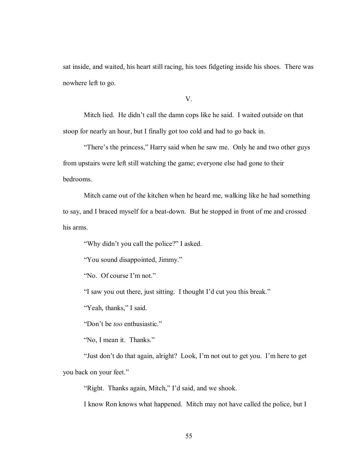sat inside, and waited, his heart still racing, his toes fidgeting inside his shoes. There was nowhere left to go.

V.

Mitch lied. He didn't call the damn cops like he said. I waited outside on that stoop for nearly an hour, but I finally got too cold and had to go back in.

"There's the princess," Harry said when he saw me. Only he and two other guys from upstairs were left still watching the game; everyone else had gone to their bedrooms.

 Mitch came out of the kitchen when he heard me, walking like he had something to say, and I braced myself for a beat-down. But he stopped in front of me and crossed his arms.

"Why didn't you call the police?" I asked.

"You sound disappointed, Jimmy."

'No. Of course I'm not."

"I saw you out there, just sitting. I thought I'd cut you this break."

"Yeah, thanks," I said.

"Don't be *too* enthusiastic."

'No, I mean it. Thanks."

"Just don't do that again, alright? Look, I'm not out to get you. I'm here to get you back on your feet."

"Right. Thanks again, Mitch," I'd said, and we shook.

I know Ron knows what happened. Mitch may not have called the police, but I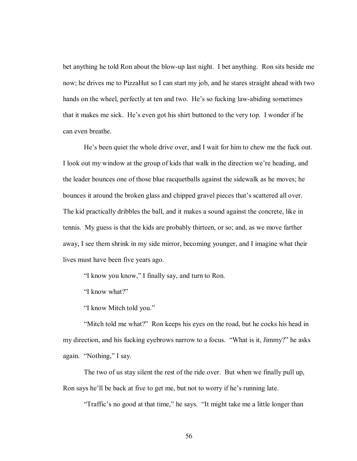bet anything he told Ron about the blow-up last night. I bet anything. Ron sits beside me now; he drives me to PizzaHut so I can start my job, and he stares straight ahead with two hands on the wheel, perfectly at ten and two. He's so fucking law-abiding sometimes that it makes me sick. He's even got his shirt buttoned to the very top. I wonder if he can even breathe.

He's been quiet the whole drive over, and I wait for him to chew me the fuck out. I look out my window at the group of kids that walk in the direction we're heading, and the leader bounces one of those blue racquetballs against the sidewalk as he moves; he bounces it around the broken glass and chipped gravel pieces that's scattered all over. The kid practically dribbles the ball, and it makes a sound against the concrete, like in tennis. My guess is that the kids are probably thirteen, or so; and, as we move farther away, I see them shrink in my side mirror, becoming younger, and I imagine what their lives must have been five years ago.

"I know you know," I finally say, and turn to Ron.

"I know what?"

"I know Mitch told you."

"Mitch told me what?" Ron keeps his eyes on the road, but he cocks his head in my direction, and his fucking eyebrows narrow to a focus. "What is it, Jimmy?" he asks again. "Nothing," I say.

 The two of us stay silent the rest of the ride over. But when we finally pull up, Ron says he'll be back at five to get me, but not to worry if he's running late.

"Traffic's no good at that time," he says. "It might take me a little longer than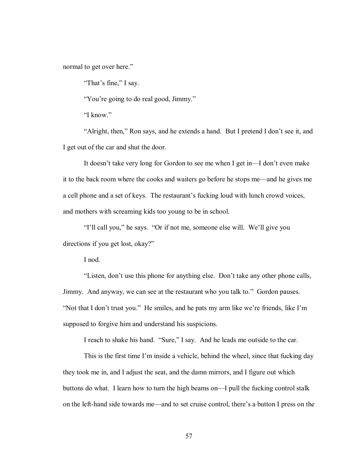normal to get over here."

"That's fine," I say.

"You're going to do real good, Jimmy."

 $\lq$ I know."

"Alright, then," Ron says, and he extends a hand. But I pretend I don't see it, and I get out of the car and shut the door.

It doesn't take very long for Gordon to see me when I get in—I don't even make it to the back room where the cooks and waiters go before he stops me—and he gives me a cell phone and a set of keys. The restaurant's fucking loud with lunch crowd voices, and mothers with screaming kids too young to be in school.

"I'll call you," he says. "Or if not me, someone else will. We'll give you directions if you get lost, okay?"

I nod.

"Listen, don't use this phone for anything else. Don't take any other phone calls, Jimmy. And anyway, we can see at the restaurant who you talk to." Gordon pauses. "Not that I don't trust you." He smiles, and he pats my arm like we're friends, like I'm supposed to forgive him and understand his suspicions.

I reach to shake his hand. "Sure," I say. And he leads me outside to the car.

This is the first time I'm inside a vehicle, behind the wheel, since that fucking day they took me in, and I adjust the seat, and the damn mirrors, and I figure out which buttons do what. I learn how to turn the high beams on—I pull the fucking control stalk on the left-hand side towards me—and to set cruise control, there's a button I press on the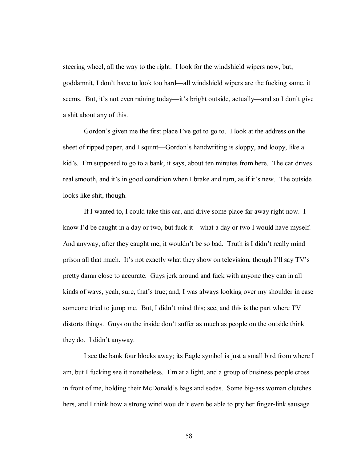steering wheel, all the way to the right. I look for the windshield wipers now, but, goddamnit, I don't have to look too hard—all windshield wipers are the fucking same, it seems. But, it's not even raining today—it's bright outside, actually—and so I don't give a shit about any of this.

Gordon's given me the first place I've got to go to. I look at the address on the sheet of ripped paper, and I squint—Gordon's handwriting is sloppy, and loopy, like a kid's. I'm supposed to go to a bank, it says, about ten minutes from here. The car drives real smooth, and it's in good condition when I brake and turn, as if it's new. The outside looks like shit, though.

 If I wanted to, I could take this car, and drive some place far away right now. I know I'd be caught in a day or two, but fuck it—what a day or two I would have myself. And anyway, after they caught me, it wouldn't be so bad. Truth is I didn't really mind prison all that much. It's not exactly what they show on television, though I'll say  $TV$ 's pretty damn close to accurate. Guys jerk around and fuck with anyone they can in all kinds of ways, yeah, sure, that's true; and, I was always looking over my shoulder in case someone tried to jump me. But, I didn't mind this; see, and this is the part where TV distorts things. Guys on the inside don't suffer as much as people on the outside think they do. I didn't anyway.

 I see the bank four blocks away; its Eagle symbol is just a small bird from where I am, but I fucking see it nonetheless. I'm at a light, and a group of business people cross in front of me, holding their McDonald's bags and sodas. Some big-ass woman clutches hers, and I think how a strong wind wouldn't even be able to pry her finger-link sausage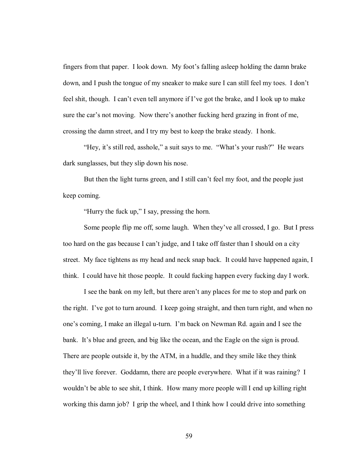fingers from that paper. I look down. My foot's falling asleep holding the damn brake down, and I push the tongue of my sneaker to make sure I can still feel my toes. I don't feel shit, though. I can't even tell anymore if I've got the brake, and I look up to make sure the car's not moving. Now there's another fucking herd grazing in front of me, crossing the damn street, and I try my best to keep the brake steady. I honk.

"Hey, it's still red, asshole," a suit says to me. "What's your rush?" He wears dark sunglasses, but they slip down his nose.

But then the light turns green, and I still can't feel my foot, and the people just keep coming.

"Hurry the fuck up," I say, pressing the horn.

Some people flip me off, some laugh. When they've all crossed, I go. But I press too hard on the gas because I can't judge, and I take off faster than I should on a city street. My face tightens as my head and neck snap back. It could have happened again, I think. I could have hit those people. It could fucking happen every fucking day I work.

 I see the bank on my left, but there arenít any places for me to stop and park on the right. I've got to turn around. I keep going straight, and then turn right, and when no one's coming, I make an illegal u-turn. I'm back on Newman Rd. again and I see the bank. It's blue and green, and big like the ocean, and the Eagle on the sign is proud. There are people outside it, by the ATM, in a huddle, and they smile like they think they'll live forever. Goddamn, there are people everywhere. What if it was raining? I wouldn't be able to see shit, I think. How many more people will I end up killing right working this damn job? I grip the wheel, and I think how I could drive into something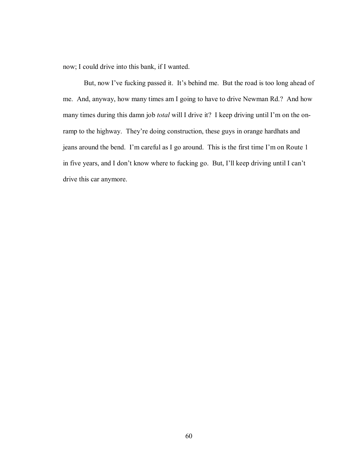now; I could drive into this bank, if I wanted.

But, now I've fucking passed it. It's behind me. But the road is too long ahead of me. And, anyway, how many times am I going to have to drive Newman Rd.? And how many times during this damn job *total* will I drive it? I keep driving until I'm on the onramp to the highway. They're doing construction, these guys in orange hardhats and jeans around the bend. I'm careful as I go around. This is the first time I'm on Route 1 in five years, and I don't know where to fucking go. But, I'll keep driving until I can't drive this car anymore.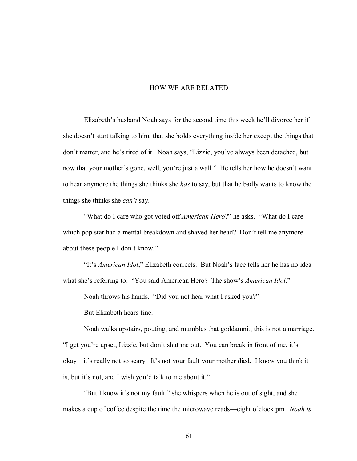## HOW WE ARE RELATED

Elizabeth's husband Noah says for the second time this week he'll divorce her if she doesn't start talking to him, that she holds everything inside her except the things that don't matter, and he's tired of it. Noah says, "Lizzie, you've always been detached, but now that your mother's gone, well, you're just a wall." He tells her how he doesn't want to hear anymore the things she thinks she *has* to say, but that he badly wants to know the things she thinks she *can't* say.

"What do I care who got voted off *American Hero*?" he asks. "What do I care which pop star had a mental breakdown and shaved her head? Don't tell me anymore about these people I don't know."

"It's *American Idol*," Elizabeth corrects. But Noah's face tells her he has no idea what she's referring to. "You said American Hero? The show's *American Idol*."

Noah throws his hands. "Did you not hear what I asked you?"

But Elizabeth hears fine.

 Noah walks upstairs, pouting, and mumbles that goddamnit, this is not a marriage. "I get you're upset, Lizzie, but don't shut me out. You can break in front of me, it's okay—it's really not so scary. It's not your fault your mother died. I know you think it is, but it's not, and I wish you'd talk to me about it."

"But I know it's not my fault," she whispers when he is out of sight, and she makes a cup of coffee despite the time the microwave reads—eight o'clock pm. *Noah is*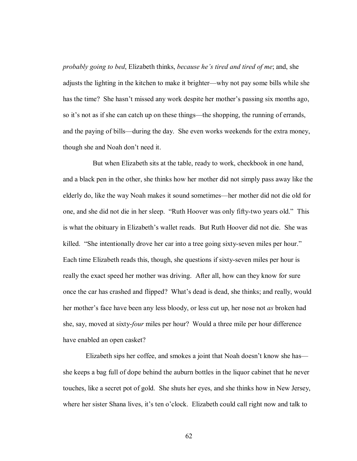*probably going to bed*, Elizabeth thinks, *because he's tired and tired of me*; and, she adjusts the lighting in the kitchen to make it brighter—why not pay some bills while she has the time? She hasn't missed any work despite her mother's passing six months ago, so it's not as if she can catch up on these things—the shopping, the running of errands, and the paying of bills—during the day. She even works weekends for the extra money, though she and Noah don't need it.

 But when Elizabeth sits at the table, ready to work, checkbook in one hand, and a black pen in the other, she thinks how her mother did not simply pass away like the elderly do, like the way Noah makes it sound sometimes—her mother did not die old for one, and she did not die in her sleep. "Ruth Hoover was only fifty-two years old." This is what the obituary in Elizabeth's wallet reads. But Ruth Hoover did not die. She was killed. "She intentionally drove her car into a tree going sixty-seven miles per hour." Each time Elizabeth reads this, though, she questions if sixty-seven miles per hour is really the exact speed her mother was driving. After all, how can they know for sure once the car has crashed and flipped? What's dead is dead, she thinks; and really, would her mother's face have been any less bloody, or less cut up, her nose not *as* broken had she, say, moved at sixty-*four* miles per hour? Would a three mile per hour difference have enabled an open casket?

Elizabeth sips her coffee, and smokes a joint that Noah doesn't know she has she keeps a bag full of dope behind the auburn bottles in the liquor cabinet that he never touches, like a secret pot of gold. She shuts her eyes, and she thinks how in New Jersey, where her sister Shana lives, it's ten o'clock. Elizabeth could call right now and talk to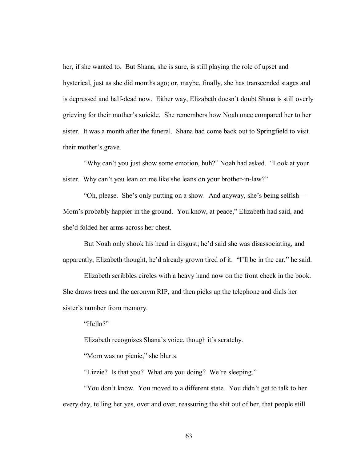her, if she wanted to. But Shana, she is sure, is still playing the role of upset and hysterical, just as she did months ago; or, maybe, finally, she has transcended stages and is depressed and half-dead now. Either way, Elizabeth doesn't doubt Shana is still overly grieving for their mother's suicide. She remembers how Noah once compared her to her sister. It was a month after the funeral. Shana had come back out to Springfield to visit their mother's grave.

"Why can't you just show some emotion, huh?" Noah had asked. "Look at your sister. Why can't you lean on me like she leans on your brother-in-law?"

 $\degree$ Oh, please. She's only putting on a show. And anyway, she's being selfish— Mom's probably happier in the ground. You know, at peace," Elizabeth had said, and she<sup>'</sup>d folded her arms across her chest.

But Noah only shook his head in disgust; he'd said she was disassociating, and apparently, Elizabeth thought, he'd already grown tired of it.  $\lq$ Ill be in the car," he said.

 Elizabeth scribbles circles with a heavy hand now on the front check in the book. She draws trees and the acronym RIP, and then picks up the telephone and dials her sister's number from memory.

"Hello?"

Elizabeth recognizes Shana's voice, though it's scratchy.

"Mom was no picnic," she blurts.

"Lizzie? Is that you? What are you doing? We're sleeping."

"You don't know. You moved to a different state. You didn't get to talk to her every day, telling her yes, over and over, reassuring the shit out of her, that people still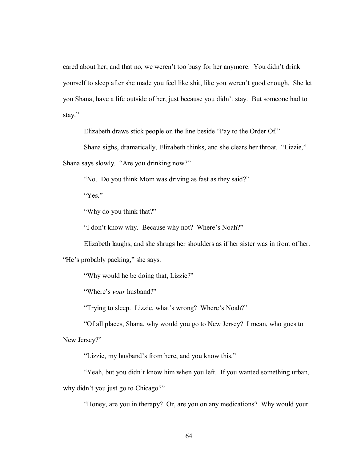cared about her; and that no, we weren't too busy for her anymore. You didn't drink yourself to sleep after she made you feel like shit, like you weren't good enough. She let you Shana, have a life outside of her, just because you didn't stay. But someone had to stay."

Elizabeth draws stick people on the line beside "Pay to the Order Of."

Shana sighs, dramatically, Elizabeth thinks, and she clears her throat. "Lizzie," Shana says slowly. "Are you drinking now?"

"No. Do you think Mom was driving as fast as they said?"

 $Yes.$ 

"Why do you think that?"

"I don't know why. Because why not? Where's Noah?"

Elizabeth laughs, and she shrugs her shoulders as if her sister was in front of her.

"He's probably packing," she says.

"Why would he be doing that, Lizzie?"

"Where's *your* husband?"

"Trying to sleep. Lizzie, what's wrong? Where's Noah?"

 ìOf all places, Shana, why would you go to New Jersey? I mean, who goes to New Jersey?"

"Lizzie, my husband's from here, and you know this."

"Yeah, but you didn't know him when you left. If you wanted something urban, why didn't you just go to Chicago?"

ìHoney, are you in therapy? Or, are you on any medications? Why would your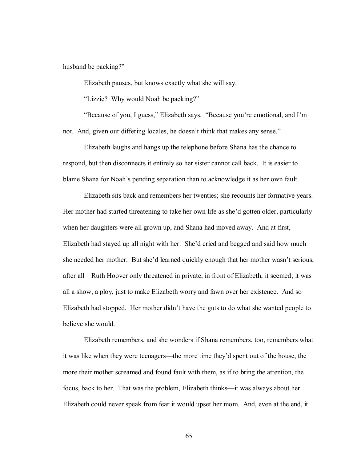husband be packing?"

Elizabeth pauses, but knows exactly what she will say.

"Lizzie? Why would Noah be packing?"

"Because of you, I guess," Elizabeth says. "Because you're emotional, and I'm not. And, given our differing locales, he doesn't think that makes any sense."

Elizabeth laughs and hangs up the telephone before Shana has the chance to respond, but then disconnects it entirely so her sister cannot call back. It is easier to blame Shana for Noah's pending separation than to acknowledge it as her own fault.

Elizabeth sits back and remembers her twenties; she recounts her formative years. Her mother had started threatening to take her own life as she'd gotten older, particularly when her daughters were all grown up, and Shana had moved away. And at first, Elizabeth had stayed up all night with her. She'd cried and begged and said how much she needed her mother. But she'd learned quickly enough that her mother wasn't serious, after all—Ruth Hoover only threatened in private, in front of Elizabeth, it seemed; it was all a show, a ploy, just to make Elizabeth worry and fawn over her existence. And so Elizabeth had stopped. Her mother didn't have the guts to do what she wanted people to believe she would.

Elizabeth remembers, and she wonders if Shana remembers, too, remembers what it was like when they were teenagers—the more time they'd spent out of the house, the more their mother screamed and found fault with them, as if to bring the attention, the focus, back to her. That was the problem, Elizabeth thinks—it was always about her. Elizabeth could never speak from fear it would upset her mom. And, even at the end, it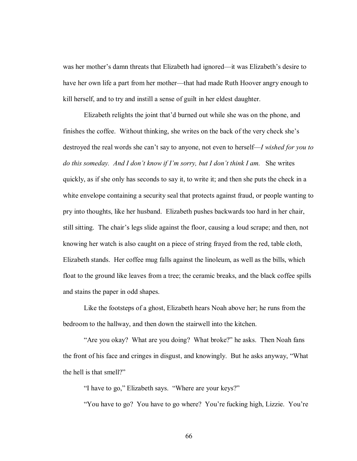was her mother's damn threats that Elizabeth had ignored—it was Elizabeth's desire to have her own life a part from her mother—that had made Ruth Hoover angry enough to kill herself, and to try and instill a sense of guilt in her eldest daughter.

Elizabeth relights the joint that'd burned out while she was on the phone, and finishes the coffee. Without thinking, she writes on the back of the very check she's destroyed the real words she can't say to anyone, not even to herself—*I wished for you to* do this someday. And I don't know if I'm sorry, but I don't think I am. She writes quickly, as if she only has seconds to say it, to write it; and then she puts the check in a white envelope containing a security seal that protects against fraud, or people wanting to pry into thoughts, like her husband. Elizabeth pushes backwards too hard in her chair, still sitting. The chair's legs slide against the floor, causing a loud scrape; and then, not knowing her watch is also caught on a piece of string frayed from the red, table cloth, Elizabeth stands. Her coffee mug falls against the linoleum, as well as the bills, which float to the ground like leaves from a tree; the ceramic breaks, and the black coffee spills and stains the paper in odd shapes.

 Like the footsteps of a ghost, Elizabeth hears Noah above her; he runs from the bedroom to the hallway, and then down the stairwell into the kitchen.

"Are you okay? What are you doing? What broke?" he asks. Then Noah fans the front of his face and cringes in disgust, and knowingly. But he asks anyway, "What the hell is that smell?"

"I have to go," Elizabeth says. "Where are your keys?"

"You have to go? You have to go where? You're fucking high, Lizzie. You're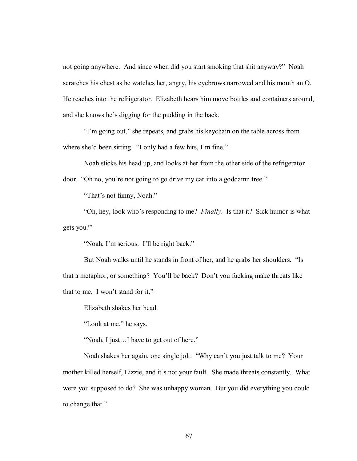not going anywhere. And since when did you start smoking that shit anyway?" Noah scratches his chest as he watches her, angry, his eyebrows narrowed and his mouth an O. He reaches into the refrigerator. Elizabeth hears him move bottles and containers around, and she knows he's digging for the pudding in the back.

"I'm going out," she repeats, and grabs his keychain on the table across from where she'd been sitting. "I only had a few hits, I'm fine."

 Noah sticks his head up, and looks at her from the other side of the refrigerator door. "Oh no, you're not going to go drive my car into a goddamn tree."

"That's not funny, Noah."

 ìOh, hey, look whoís responding to me? *Finally*. Is that it? Sick humor is what gets you?"

"Noah, I'm serious. I'll be right back."

But Noah walks until he stands in front of her, and he grabs her shoulders. "Is that a metaphor, or something? You'll be back? Don't you fucking make threats like that to me. I won't stand for it."

Elizabeth shakes her head.

"Look at me," he says.

 $\degree$ Noah, I just...I have to get out of here."

Noah shakes her again, one single jolt. "Why can't you just talk to me? Your mother killed herself, Lizzie, and it's not your fault. She made threats constantly. What were you supposed to do? She was unhappy woman. But you did everything you could to change that."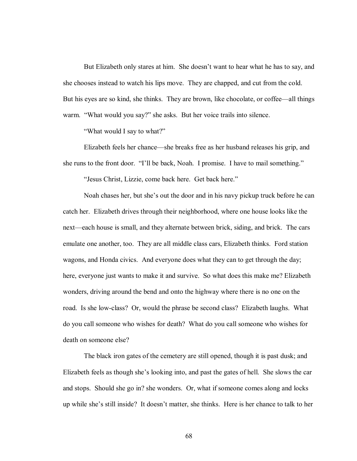But Elizabeth only stares at him. She doesn't want to hear what he has to say, and she chooses instead to watch his lips move. They are chapped, and cut from the cold. But his eyes are so kind, she thinks. They are brown, like chocolate, or coffee—all things warm. "What would you say?" she asks. But her voice trails into silence.

"What would I say to what?"

Elizabeth feels her chance—she breaks free as her husband releases his grip, and she runs to the front door. "I'll be back, Noah. I promise. I have to mail something."

"Jesus Christ, Lizzie, come back here. Get back here."

Noah chases her, but she's out the door and in his navy pickup truck before he can catch her. Elizabeth drives through their neighborhood, where one house looks like the next—each house is small, and they alternate between brick, siding, and brick. The cars emulate one another, too. They are all middle class cars, Elizabeth thinks. Ford station wagons, and Honda civics. And everyone does what they can to get through the day; here, everyone just wants to make it and survive. So what does this make me? Elizabeth wonders, driving around the bend and onto the highway where there is no one on the road. Is she low-class? Or, would the phrase be second class? Elizabeth laughs. What do you call someone who wishes for death? What do you call someone who wishes for death on someone else?

The black iron gates of the cemetery are still opened, though it is past dusk; and Elizabeth feels as though she's looking into, and past the gates of hell. She slows the car and stops. Should she go in? she wonders. Or, what if someone comes along and locks up while she's still inside? It doesn't matter, she thinks. Here is her chance to talk to her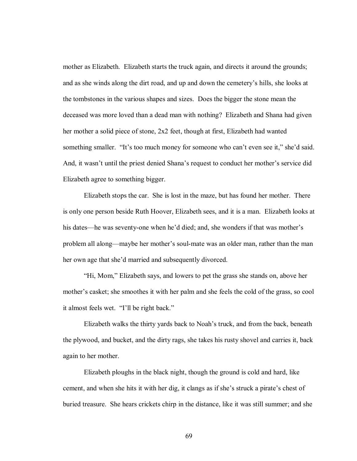mother as Elizabeth. Elizabeth starts the truck again, and directs it around the grounds; and as she winds along the dirt road, and up and down the cemetery's hills, she looks at the tombstones in the various shapes and sizes. Does the bigger the stone mean the deceased was more loved than a dead man with nothing? Elizabeth and Shana had given her mother a solid piece of stone, 2x2 feet, though at first, Elizabeth had wanted something smaller. "It's too much money for someone who can't even see it," she'd said. And, it wasn't until the priest denied Shana's request to conduct her mother's service did Elizabeth agree to something bigger.

 Elizabeth stops the car. She is lost in the maze, but has found her mother. There is only one person beside Ruth Hoover, Elizabeth sees, and it is a man. Elizabeth looks at his dates—he was seventy-one when he'd died; and, she wonders if that was mother's problem all along—maybe her mother's soul-mate was an older man, rather than the man her own age that she'd married and subsequently divorced.

 ìHi, Mom,î Elizabeth says, and lowers to pet the grass she stands on, above her mother's casket; she smoothes it with her palm and she feels the cold of the grass, so cool it almost feels wet. "I'll be right back."

 Elizabeth walks the thirty yards back to Noahís truck, and from the back, beneath the plywood, and bucket, and the dirty rags, she takes his rusty shovel and carries it, back again to her mother.

 Elizabeth ploughs in the black night, though the ground is cold and hard, like cement, and when she hits it with her dig, it clangs as if she's struck a pirate's chest of buried treasure. She hears crickets chirp in the distance, like it was still summer; and she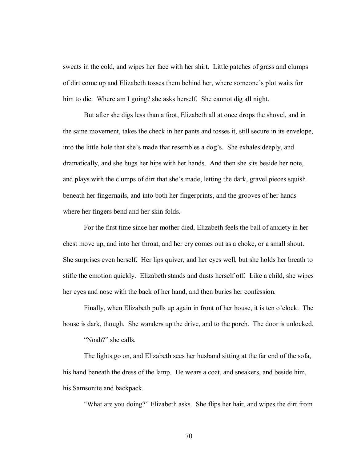sweats in the cold, and wipes her face with her shirt. Little patches of grass and clumps of dirt come up and Elizabeth tosses them behind her, where someone's plot waits for him to die. Where am I going? she asks herself. She cannot dig all night.

 But after she digs less than a foot, Elizabeth all at once drops the shovel, and in the same movement, takes the check in her pants and tosses it, still secure in its envelope, into the little hole that she's made that resembles a dog's. She exhales deeply, and dramatically, and she hugs her hips with her hands. And then she sits beside her note, and plays with the clumps of dirt that she's made, letting the dark, gravel pieces squish beneath her fingernails, and into both her fingerprints, and the grooves of her hands where her fingers bend and her skin folds.

For the first time since her mother died, Elizabeth feels the ball of anxiety in her chest move up, and into her throat, and her cry comes out as a choke, or a small shout. She surprises even herself. Her lips quiver, and her eyes well, but she holds her breath to stifle the emotion quickly. Elizabeth stands and dusts herself off. Like a child, she wipes her eyes and nose with the back of her hand, and then buries her confession.

Finally, when Elizabeth pulls up again in front of her house, it is ten o'clock. The house is dark, though. She wanders up the drive, and to the porch. The door is unlocked.

"Noah?" she calls.

 The lights go on, and Elizabeth sees her husband sitting at the far end of the sofa, his hand beneath the dress of the lamp. He wears a coat, and sneakers, and beside him, his Samsonite and backpack.

ìWhat are you doing?î Elizabeth asks. She flips her hair, and wipes the dirt from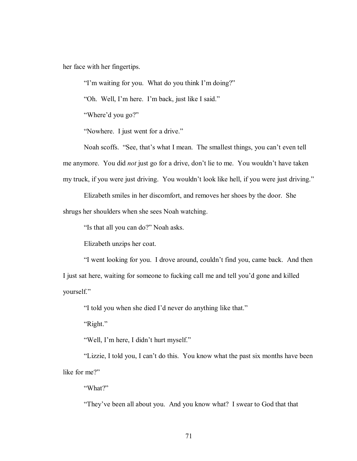her face with her fingertips.

"I'm waiting for you. What do you think I'm doing?"

"Oh. Well, I'm here. I'm back, just like I said."

"Where'd you go?"

"Nowhere. I just went for a drive."

Noah scoffs. "See, that's what I mean. The smallest things, you can't even tell me anymore. You did *not* just go for a drive, don't lie to me. You wouldn't have taken my truck, if you were just driving. You wouldn't look like hell, if you were just driving."

Elizabeth smiles in her discomfort, and removes her shoes by the door. She

shrugs her shoulders when she sees Noah watching.

"Is that all you can do?" Noah asks.

Elizabeth unzips her coat.

"I went looking for you. I drove around, couldn't find you, came back. And then

I just sat here, waiting for someone to fucking call me and tell you'd gone and killed yourself."

"I told you when she died I'd never do anything like that."

" $Right$ ."

"Well, I'm here, I didn't hurt myself."

"Lizzie, I told you, I can't do this. You know what the past six months have been like for me?"

"What?"

"They've been all about you. And you know what? I swear to God that that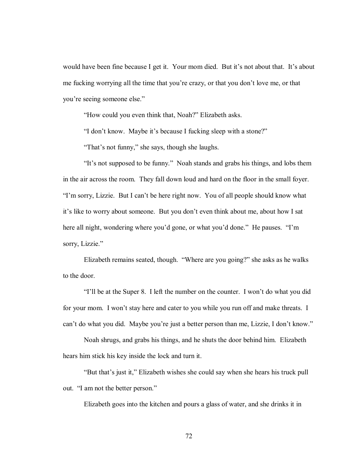would have been fine because I get it. Your mom died. But it's not about that. It's about me fucking worrying all the time that you're crazy, or that you don't love me, or that you're seeing someone else."

"How could you even think that, Noah?" Elizabeth asks.

"I don't know. Maybe it's because I fucking sleep with a stone?"

"That's not funny," she says, though she laughs.

"It's not supposed to be funny." Noah stands and grabs his things, and lobs them in the air across the room. They fall down loud and hard on the floor in the small foyer. I'm sorry, Lizzie. But I can't be here right now. You of all people should know what it's like to worry about someone. But you don't even think about me, about how I sat here all night, wondering where you'd gone, or what you'd done." He pauses. "I'm sorry, Lizzie."

Elizabeth remains seated, though. "Where are you going?" she asks as he walks to the door.

III be at the Super 8. I left the number on the counter. I won't do what you did for your mom. I won't stay here and cater to you while you run off and make threats. I can't do what you did. Maybe you're just a better person than me, Lizzie, I don't know."

 Noah shrugs, and grabs his things, and he shuts the door behind him. Elizabeth hears him stick his key inside the lock and turn it.

 ìBut thatís just it,î Elizabeth wishes she could say when she hears his truck pull out. "I am not the better person."

Elizabeth goes into the kitchen and pours a glass of water, and she drinks it in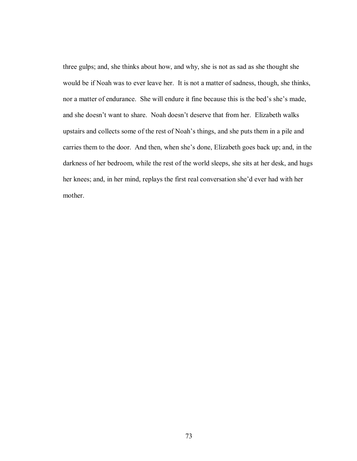three gulps; and, she thinks about how, and why, she is not as sad as she thought she would be if Noah was to ever leave her. It is not a matter of sadness, though, she thinks, nor a matter of endurance. She will endure it fine because this is the bed's she's made, and she doesn't want to share. Noah doesn't deserve that from her. Elizabeth walks upstairs and collects some of the rest of Noah's things, and she puts them in a pile and carries them to the door. And then, when she's done, Elizabeth goes back up; and, in the darkness of her bedroom, while the rest of the world sleeps, she sits at her desk, and hugs her knees; and, in her mind, replays the first real conversation she'd ever had with her mother.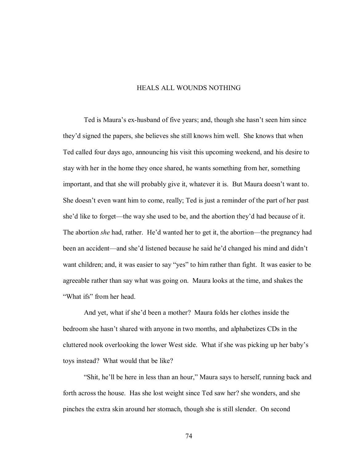## HEALS ALL WOUNDS NOTHING

Ted is Maura's ex-husband of five years; and, though she hasn't seen him since they'd signed the papers, she believes she still knows him well. She knows that when Ted called four days ago, announcing his visit this upcoming weekend, and his desire to stay with her in the home they once shared, he wants something from her, something important, and that she will probably give it, whatever it is. But Maura doesn't want to. She doesn't even want him to come, really; Ted is just a reminder of the part of her past she'd like to forget—the way she used to be, and the abortion they'd had because of it. The abortion *she* had, rather. He'd wanted her to get it, the abortion—the pregnancy had been an accident—and she'd listened because he said he'd changed his mind and didn't want children; and, it was easier to say "yes" to him rather than fight. It was easier to be agreeable rather than say what was going on. Maura looks at the time, and shakes the "What ifs" from her head.

And yet, what if she'd been a mother? Maura folds her clothes inside the bedroom she hasnít shared with anyone in two months, and alphabetizes CDs in the cluttered nook overlooking the lower West side. What if she was picking up her babyís toys instead? What would that be like?

"Shit, he'll be here in less than an hour," Maura says to herself, running back and forth across the house. Has she lost weight since Ted saw her? she wonders, and she pinches the extra skin around her stomach, though she is still slender. On second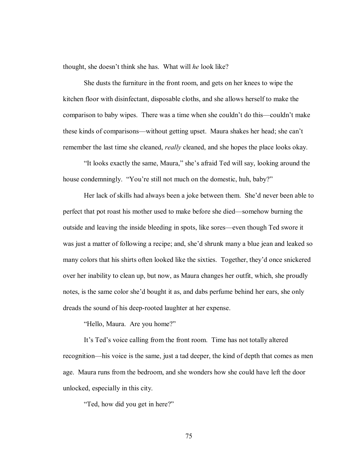thought, she doesn't think she has. What will *he* look like?

She dusts the furniture in the front room, and gets on her knees to wipe the kitchen floor with disinfectant, disposable cloths, and she allows herself to make the comparison to baby wipes. There was a time when she couldn't do this—couldn't make these kinds of comparisons—without getting upset. Maura shakes her head; she can't remember the last time she cleaned, *really* cleaned, and she hopes the place looks okay.

"It looks exactly the same, Maura," she's afraid Ted will say, looking around the house condemningly. "You're still not much on the domestic, huh, baby?"

Her lack of skills had always been a joke between them. She'd never been able to perfect that pot roast his mother used to make before she died—somehow burning the outside and leaving the inside bleeding in spots, like sores—even though Ted swore it was just a matter of following a recipe; and, she'd shrunk many a blue jean and leaked so many colors that his shirts often looked like the sixties. Together, they'd once snickered over her inability to clean up, but now, as Maura changes her outfit, which, she proudly notes, is the same color she'd bought it as, and dabs perfume behind her ears, she only dreads the sound of his deep-rooted laughter at her expense.

"Hello, Maura. Are you home?"

It's Ted's voice calling from the front room. Time has not totally altered recognition—his voice is the same, just a tad deeper, the kind of depth that comes as men age. Maura runs from the bedroom, and she wonders how she could have left the door unlocked, especially in this city.

"Ted, how did you get in here?"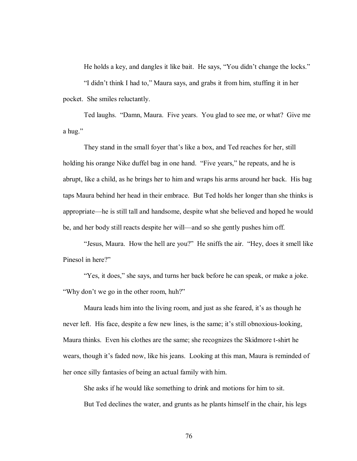He holds a key, and dangles it like bait. He says, "You didn't change the locks."

"I didn't think I had to," Maura says, and grabs it from him, stuffing it in her pocket. She smiles reluctantly.

Ted laughs. "Damn, Maura. Five years. You glad to see me, or what? Give me a hug."

They stand in the small foyer that's like a box, and Ted reaches for her, still holding his orange Nike duffel bag in one hand. "Five years," he repeats, and he is abrupt, like a child, as he brings her to him and wraps his arms around her back. His bag taps Maura behind her head in their embrace. But Ted holds her longer than she thinks is appropriate—he is still tall and handsome, despite what she believed and hoped he would be, and her body still reacts despite her will—and so she gently pushes him off.

"Jesus, Maura. How the hell are you?" He sniffs the air. "Hey, does it smell like Pinesol in here?"

"Yes, it does," she says, and turns her back before he can speak, or make a joke. "Why don't we go in the other room, huh?"

Maura leads him into the living room, and just as she feared, it's as though he never left. His face, despite a few new lines, is the same; it's still obnoxious-looking, Maura thinks. Even his clothes are the same; she recognizes the Skidmore t-shirt he wears, though it's faded now, like his jeans. Looking at this man, Maura is reminded of her once silly fantasies of being an actual family with him.

She asks if he would like something to drink and motions for him to sit. But Ted declines the water, and grunts as he plants himself in the chair, his legs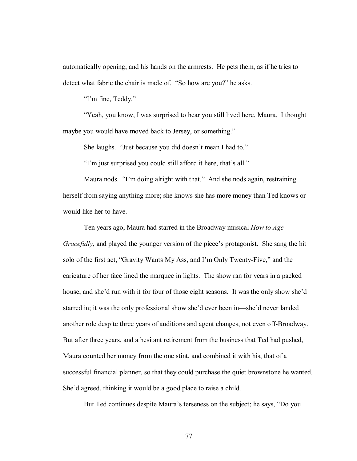automatically opening, and his hands on the armrests. He pets them, as if he tries to detect what fabric the chair is made of. "So how are you?" he asks.

"I'm fine, Teddy."

ìYeah, you know, I was surprised to hear you still lived here, Maura. I thought maybe you would have moved back to Jersey, or something."

She laughs. "Just because you did doesn't mean I had to."

"I'm just surprised you could still afford it here, that's all."

Maura nods. "I'm doing alright with that." And she nods again, restraining herself from saying anything more; she knows she has more money than Ted knows or would like her to have.

 Ten years ago, Maura had starred in the Broadway musical *How to Age Gracefully*, and played the younger version of the piece's protagonist. She sang the hit solo of the first act, "Gravity Wants My Ass, and I'm Only Twenty-Five," and the caricature of her face lined the marquee in lights. The show ran for years in a packed house, and she'd run with it for four of those eight seasons. It was the only show she'd starred in; it was the only professional show she'd ever been in—she'd never landed another role despite three years of auditions and agent changes, not even off-Broadway. But after three years, and a hesitant retirement from the business that Ted had pushed, Maura counted her money from the one stint, and combined it with his, that of a successful financial planner, so that they could purchase the quiet brownstone he wanted. She'd agreed, thinking it would be a good place to raise a child.

But Ted continues despite Maura's terseness on the subject; he says, "Do you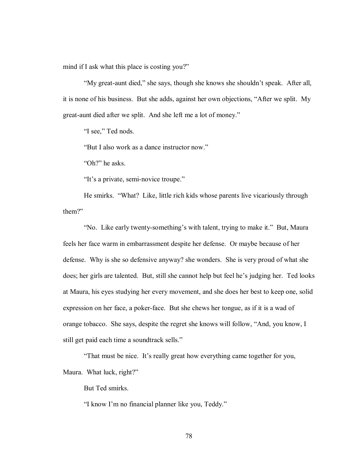mind if I ask what this place is costing you?"

ìMy great-aunt died,î she says, though she knows she shouldnít speak. After all, it is none of his business. But she adds, against her own objections, "After we split. My great-aunt died after we split. And she left me a lot of money."

"I see," Ted nods.

"But I also work as a dance instructor now."

"Oh?" he asks.

"It's a private, semi-novice troupe."

He smirks. "What? Like, little rich kids whose parents live vicariously through them?"

'No. Like early twenty-something's with talent, trying to make it." But, Maura feels her face warm in embarrassment despite her defense. Or maybe because of her defense. Why is she so defensive anyway? she wonders. She is very proud of what she does; her girls are talented. But, still she cannot help but feel he's judging her. Ted looks at Maura, his eyes studying her every movement, and she does her best to keep one, solid expression on her face, a poker-face. But she chews her tongue, as if it is a wad of orange tobacco. She says, despite the regret she knows will follow, "And, you know, I still get paid each time a soundtrack sells."

"That must be nice. It's really great how everything came together for you,

Maura. What luck, right?"

But Ted smirks.

"I know I'm no financial planner like you, Teddy."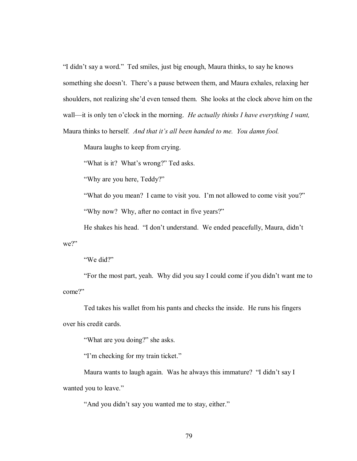"I didn't say a word." Ted smiles, just big enough, Maura thinks, to say he knows something she doesn't. There's a pause between them, and Maura exhales, relaxing her shoulders, not realizing she'd even tensed them. She looks at the clock above him on the wall—it is only ten o'clock in the morning. *He actually thinks I have everything I want,* Maura thinks to herself. *And that it's all been handed to me. You damn fool.* 

Maura laughs to keep from crying.

"What is it? What's wrong?" Ted asks.

"Why are you here, Teddy?"

"What do you mean? I came to visit you. I'm not allowed to come visit you?"

"Why now? Why, after no contact in five years?"

He shakes his head. "I don't understand. We ended peacefully, Maura, didn't we?"

"We did?"

ìFor the most part, yeah. Why did you say I could come if you didnít want me to come?"

Ted takes his wallet from his pants and checks the inside. He runs his fingers over his credit cards.

"What are you doing?" she asks.

"I'm checking for my train ticket."

Maura wants to laugh again. Was he always this immature? "I didn't say I wanted you to leave."

"And you didn't say you wanted me to stay, either."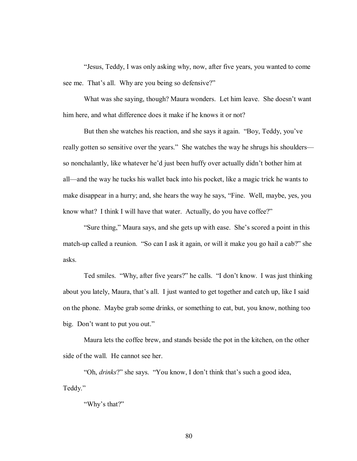ìJesus, Teddy, I was only asking why, now, after five years, you wanted to come see me. That's all. Why are you being so defensive?"

What was she saying, though? Maura wonders. Let him leave. She doesn't want him here, and what difference does it make if he knows it or not?

But then she watches his reaction, and she says it again. "Boy, Teddy, you've really gotten so sensitive over the years." She watches the way he shrugs his shoulders so nonchalantly, like whatever he'd just been huffy over actually didn't bother him at all—and the way he tucks his wallet back into his pocket, like a magic trick he wants to make disappear in a hurry; and, she hears the way he says, "Fine. Well, maybe, yes, you know what? I think I will have that water. Actually, do you have coffee?"

"Sure thing," Maura says, and she gets up with ease. She's scored a point in this match-up called a reunion. "So can I ask it again, or will it make you go hail a cab?" she asks.

Ted smiles. "Why, after five years?" he calls. "I don't know. I was just thinking about you lately, Maura, that's all. I just wanted to get together and catch up, like I said on the phone. Maybe grab some drinks, or something to eat, but, you know, nothing too big. Don't want to put you out."

Maura lets the coffee brew, and stands beside the pot in the kitchen, on the other side of the wall. He cannot see her.

"Oh, *drinks*?" she says. "You know, I don't think that's such a good idea, Teddy."

"Why's that?"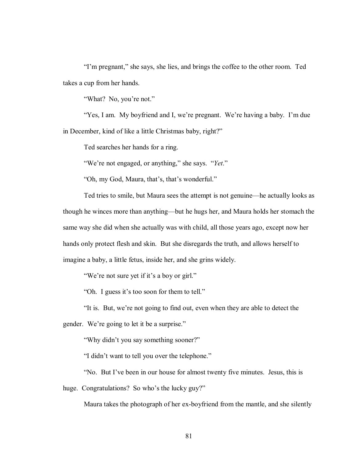"I'm pregnant," she says, she lies, and brings the coffee to the other room. Ted takes a cup from her hands.

"What? No, you're not."

"Yes, I am. My boyfriend and I, we're pregnant. We're having a baby. I'm due in December, kind of like a little Christmas baby, right?"

Ted searches her hands for a ring.

<sup>"</sup>We're not engaged, or anything," she says. *"Yet*."

"Oh, my God, Maura, that's, that's wonderful."

Ted tries to smile, but Maura sees the attempt is not genuine—he actually looks as though he winces more than anything—but he hugs her, and Maura holds her stomach the same way she did when she actually was with child, all those years ago, except now her hands only protect flesh and skin. But she disregards the truth, and allows herself to imagine a baby, a little fetus, inside her, and she grins widely.

"We're not sure yet if it's a boy or girl."

"Oh. I guess it's too soon for them to tell."

"It is. But, we're not going to find out, even when they are able to detect the

gender. We're going to let it be a surprise."

"Why didn't you say something sooner?"

"I didn't want to tell you over the telephone."

ìNo. But Iíve been in our house for almost twenty five minutes. Jesus, this is

huge. Congratulations? So who's the lucky guy?"

Maura takes the photograph of her ex-boyfriend from the mantle, and she silently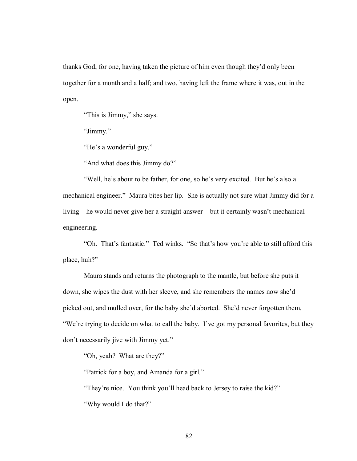thanks God, for one, having taken the picture of him even though they'd only been together for a month and a half; and two, having left the frame where it was, out in the open.

"This is Jimmy," she says.

"Jimmy."

"He's a wonderful guy."

"And what does this Jimmy do?"

"Well, he's about to be father, for one, so he's very excited. But he's also a mechanical engineer." Maura bites her lip. She is actually not sure what Jimmy did for a living—he would never give her a straight answer—but it certainly wasn't mechanical engineering.

"Oh. That's fantastic." Ted winks. "So that's how you're able to still afford this place, huh?"

 Maura stands and returns the photograph to the mantle, but before she puts it down, she wipes the dust with her sleeve, and she remembers the names now she'd picked out, and mulled over, for the baby she'd aborted. She'd never forgotten them. "We're trying to decide on what to call the baby. I've got my personal favorites, but they don't necessarily jive with Jimmy yet."

"Oh, yeah? What are they?"

"Patrick for a boy, and Amanda for a girl."

"They're nice. You think you'll head back to Jersey to raise the kid?" "Why would I do that?"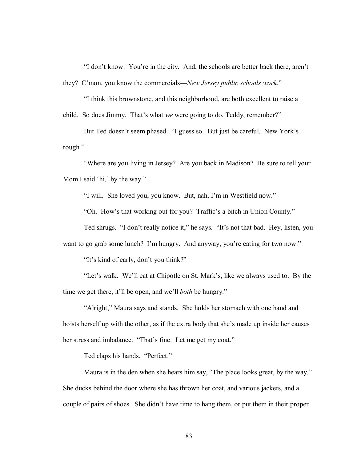"I don't know. You're in the city. And, the schools are better back there, aren't they? C'mon, you know the commercials—*New Jersey public schools work*."

ìI think this brownstone, and this neighborhood, are both excellent to raise a child. So does Jimmy. That's what *we* were going to do, Teddy, remember?"

But Ted doesn't seem phased. "I guess so. But just be careful. New York's rough."

ìWhere are you living in Jersey? Are you back in Madison? Be sure to tell your Mom I said 'hi,' by the way."

"I will. She loved you, you know. But, nah, I'm in Westfield now."

"Oh. How's that working out for you? Traffic's a bitch in Union County."

Ted shrugs. "I don't really notice it," he says. "It's not that bad. Hey, listen, you

want to go grab some lunch? I'm hungry. And anyway, you're eating for two now."

"It's kind of early, don't you think?"

"Let's walk. We'll eat at Chipotle on St. Mark's, like we always used to. By the time we get there, it'll be open, and we'll *both* be hungry."

"Alright," Maura says and stands. She holds her stomach with one hand and hoists herself up with the other, as if the extra body that she's made up inside her causes her stress and imbalance. "That's fine. Let me get my coat."

Ted claps his hands. "Perfect."

Maura is in the den when she hears him say, "The place looks great, by the way." She ducks behind the door where she has thrown her coat, and various jackets, and a couple of pairs of shoes. She didn't have time to hang them, or put them in their proper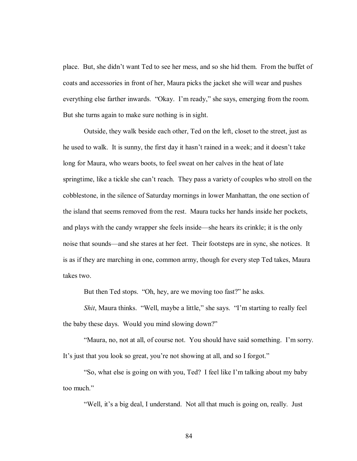place. But, she didn't want Ted to see her mess, and so she hid them. From the buffet of coats and accessories in front of her, Maura picks the jacket she will wear and pushes everything else farther inwards. "Okay. I'm ready," she says, emerging from the room. But she turns again to make sure nothing is in sight.

 Outside, they walk beside each other, Ted on the left, closet to the street, just as he used to walk. It is sunny, the first day it hasn't rained in a week; and it doesn't take long for Maura, who wears boots, to feel sweat on her calves in the heat of late springtime, like a tickle she can't reach. They pass a variety of couples who stroll on the cobblestone, in the silence of Saturday mornings in lower Manhattan, the one section of the island that seems removed from the rest. Maura tucks her hands inside her pockets, and plays with the candy wrapper she feels inside—she hears its crinkle; it is the only noise that sounds—and she stares at her feet. Their footsteps are in sync, she notices. It is as if they are marching in one, common army, though for every step Ted takes, Maura takes two.

But then Ted stops. "Oh, hey, are we moving too fast?" he asks.

*Shit*, Maura thinks. "Well, maybe a little," she says. "I'm starting to really feel the baby these days. Would you mind slowing down?"

ìMaura, no, not at all, of course not. You should have said something. Iím sorry. It's just that you look so great, you're not showing at all, and so I forgot."

"So, what else is going on with you, Ted? I feel like I'm talking about my baby too much."

"Well, it's a big deal, I understand. Not all that much is going on, really. Just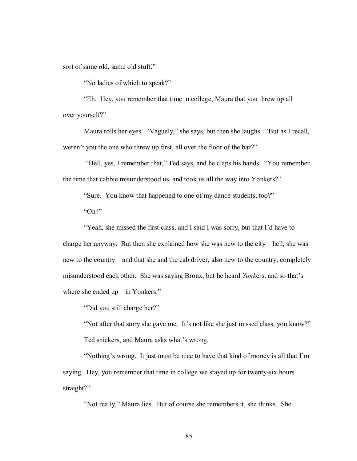sort of same old, same old stuff."

"No ladies of which to speak?"

ìEh. Hey, you remember that time in college, Maura that you threw up all over yourself?"

Maura rolls her eyes. "Vaguely," she says, but then she laughs. "But as I recall, weren't you the one who threw up first, all over the floor of the bar?"

"Hell, yes, I remember that," Ted says, and he claps his hands. "You remember the time that cabbie misunderstood us, and took us all the way into Yonkers?"

"Sure. You know that happened to one of my dance students, too?"  $^{\circ}$ Oh?"

"Yeah, she missed the first class, and I said I was sorry, but that I'd have to charge her anyway. But then she explained how she was new to the city—hell, she was new to the country—and that she and the cab driver, also new to the country, completely misunderstood each other. She was saying Bronx, but he heard *Yonkers*, and so that's where she ended up—in Yonkers."

"Did you still charge her?"

"Not after that story she gave me. It's not like she just missed class, you know?" Ted snickers, and Maura asks what's wrong.

"Nothing's wrong. It just must be nice to have that kind of money is all that I'm saying. Hey, you remember that time in college we stayed up for twenty-six hours straight?"

"Not really," Maura lies. But of course she remembers it, she thinks. She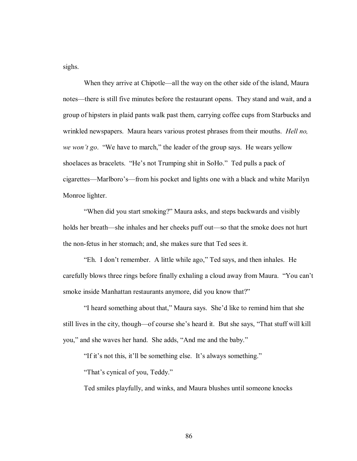sighs.

When they arrive at Chipotle—all the way on the other side of the island, Maura notes—there is still five minutes before the restaurant opens. They stand and wait, and a group of hipsters in plaid pants walk past them, carrying coffee cups from Starbucks and wrinkled newspapers. Maura hears various protest phrases from their mouths. *Hell no, we won't go.* "We have to march," the leader of the group says. He wears yellow shoelaces as bracelets. "He's not Trumping shit in SoHo." Ted pulls a pack of cigarettes—Marlboro's—from his pocket and lights one with a black and white Marilyn Monroe lighter.

 ìWhen did you start smoking?î Maura asks, and steps backwards and visibly holds her breath—she inhales and her cheeks puff out—so that the smoke does not hurt the non-fetus in her stomach; and, she makes sure that Ted sees it.

 ìEh. I donít remember. A little while ago,î Ted says, and then inhales. He carefully blows three rings before finally exhaling a cloud away from Maura. "You can't smoke inside Manhattan restaurants anymore, did you know that?"

"I heard something about that," Maura says. She'd like to remind him that she still lives in the city, though—of course she's heard it. But she says, "That stuff will kill you," and she waves her hand. She adds, "And me and the baby."

"If it's not this, it'll be something else. It's always something."

"That's cynical of you, Teddy."

Ted smiles playfully, and winks, and Maura blushes until someone knocks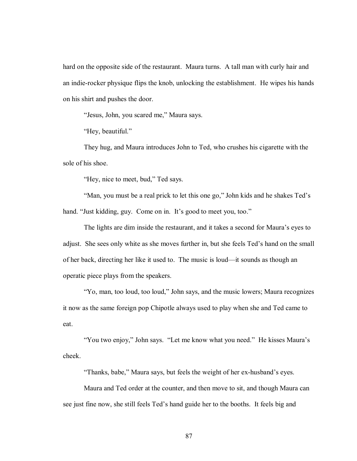hard on the opposite side of the restaurant. Maura turns. A tall man with curly hair and an indie-rocker physique flips the knob, unlocking the establishment. He wipes his hands on his shirt and pushes the door.

"Jesus, John, you scared me," Maura says.

"Hey, beautiful."

 They hug, and Maura introduces John to Ted, who crushes his cigarette with the sole of his shoe.

"Hey, nice to meet, bud," Ted says.

"Man, you must be a real prick to let this one go," John kids and he shakes Ted's hand. "Just kidding, guy. Come on in. It's good to meet you, too."

The lights are dim inside the restaurant, and it takes a second for Maura's eyes to adjust. She sees only white as she moves further in, but she feels Ted's hand on the small of her back, directing her like it used to. The music is loud—it sounds as though an operatic piece plays from the speakers.

ìYo, man, too loud, too loud,î John says, and the music lowers; Maura recognizes it now as the same foreign pop Chipotle always used to play when she and Ted came to eat.

"You two enjoy," John says. "Let me know what you need." He kisses Maura's cheek.

"Thanks, babe," Maura says, but feels the weight of her ex-husband's eyes.

 Maura and Ted order at the counter, and then move to sit, and though Maura can see just fine now, she still feels Ted's hand guide her to the booths. It feels big and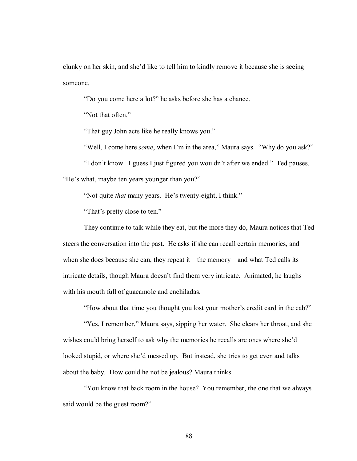clunky on her skin, and she'd like to tell him to kindly remove it because she is seeing someone.

ìDo you come here a lot?î he asks before she has a chance.

"Not that often."

"That guy John acts like he really knows you."

"Well, I come here *some*, when I'm in the area," Maura says. "Why do you ask?"

"I don't know. I guess I just figured you wouldn't after we ended." Ted pauses.

"He's what, maybe ten years younger than you?"

"Not quite *that* many years. He's twenty-eight, I think."

"That's pretty close to ten."

 They continue to talk while they eat, but the more they do, Maura notices that Ted steers the conversation into the past. He asks if she can recall certain memories, and when she does because she can, they repeat it—the memory—and what Ted calls its intricate details, though Maura doesn't find them very intricate. Animated, he laughs with his mouth full of guacamole and enchiladas.

"How about that time you thought you lost your mother's credit card in the cab?"

"Yes, I remember," Maura says, sipping her water. She clears her throat, and she wishes could bring herself to ask why the memories he recalls are ones where she'd looked stupid, or where she'd messed up. But instead, she tries to get even and talks about the baby. How could he not be jealous? Maura thinks.

 ìYou know that back room in the house? You remember, the one that we always said would be the guest room?"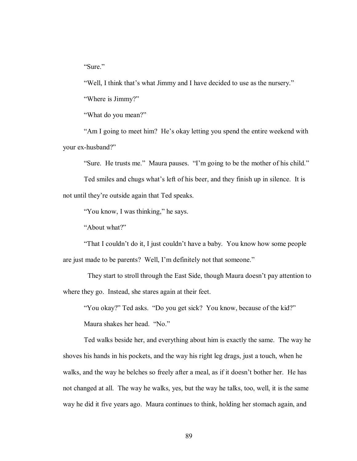"Sure."

"Well, I think that's what Jimmy and I have decided to use as the nursery."

"Where is Jimmy?"

"What do you mean?"

"Am I going to meet him? He's okay letting you spend the entire weekend with your ex-husband?"

"Sure. He trusts me." Maura pauses. "I'm going to be the mother of his child."

Ted smiles and chugs what's left of his beer, and they finish up in silence. It is not until they're outside again that Ted speaks.

"You know, I was thinking," he says.

"About what?"

"That I couldn't do it, I just couldn't have a baby. You know how some people are just made to be parents? Well, I'm definitely not that someone."

They start to stroll through the East Side, though Maura doesn't pay attention to where they go. Instead, she stares again at their feet.

"You okay?" Ted asks. "Do you get sick? You know, because of the kid?"

Maura shakes her head. "No."

Ted walks beside her, and everything about him is exactly the same. The way he shoves his hands in his pockets, and the way his right leg drags, just a touch, when he walks, and the way he belches so freely after a meal, as if it doesn't bother her. He has not changed at all. The way he walks, yes, but the way he talks, too, well, it is the same way he did it five years ago. Maura continues to think, holding her stomach again, and